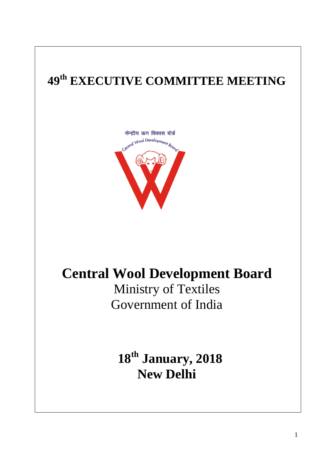# **49 th EXECUTIVE COMMITTEE MEETING**



# **Central Wool Development Board** Ministry of Textiles

Government of India

**18th January, 2018 New Delhi**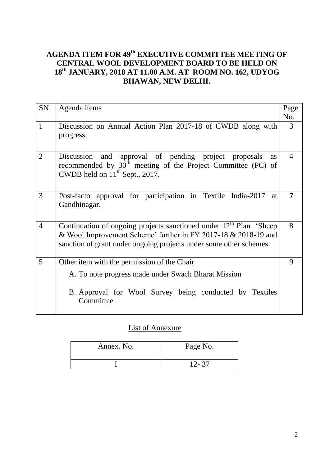## **AGENDA ITEM FOR 49 th EXECUTIVE COMMITTEE MEETING OF CENTRAL WOOL DEVELOPMENT BOARD TO BE HELD ON 18th JANUARY, 2018 AT 11.00 A.M. AT ROOM NO. 162, UDYOG BHAWAN, NEW DELHI.**

| <b>SN</b>      | Agenda items                                                                                                                                                                                                           | Page                     |
|----------------|------------------------------------------------------------------------------------------------------------------------------------------------------------------------------------------------------------------------|--------------------------|
|                |                                                                                                                                                                                                                        | No.                      |
| $\mathbf{1}$   | Discussion on Annual Action Plan 2017-18 of CWDB along with<br>progress.                                                                                                                                               | 3                        |
| $\overline{2}$ | approval of pending project proposals<br>Discussion and<br><b>as</b><br>recommended by $30th$ meeting of the Project Committee (PC) of<br>CWDB held on $11^{th}$ Sept., 2017.                                          | $\overline{\mathcal{A}}$ |
| 3              | Post-facto approval for participation in Textile India-2017<br>at<br>Gandhinagar.                                                                                                                                      | 7                        |
| $\overline{4}$ | Continuation of ongoing projects sanctioned under 12 <sup>th</sup> Plan 'Sheep<br>& Wool Improvement Scheme' further in FY 2017-18 & 2018-19 and<br>sanction of grant under ongoing projects under some other schemes. | 8                        |
| 5              | Other item with the permission of the Chair                                                                                                                                                                            | 9                        |
|                | A. To note progress made under Swach Bharat Mission                                                                                                                                                                    |                          |
|                | B. Approval for Wool Survey being conducted by Textiles<br>Committee                                                                                                                                                   |                          |

## List of Annexure

| Annex. No. | Page No.  |
|------------|-----------|
|            | $12 - 37$ |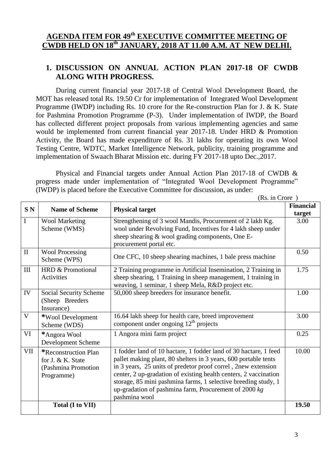# **AGENDA ITEM FOR 49th EXECUTIVE COMMITTEE MEETING OF CWDB HELD ON 18th JANUARY, 2018 AT 11.00 A.M. AT NEW DELHI.**

#### **1. DISCUSSION ON ANNUAL ACTION PLAN 2017-18 OF CWDB ALONG WITH PROGRESS.**

During current financial year 2017-18 of Central Wool Development Board, the MOT has released total Rs. 19.50 Cr for implementation of Integrated Wool Development Programme (IWDP) including Rs. 10 crore for the Re-construction Plan for J. & K. State for Pashmina Promotion Programme (P-3). Under implementation of IWDP, the Board has collected different project proposals from various implementing agencies and same would be implemented from current financial year 2017-18. Under HRD & Promotion Activity, the Board has made expenditure of Rs. 31 lakhs for operating its own Wool Testing Centre, WDTC, Market Intelligence Network, publicity, training programme and implementation of Swaach Bharat Mission etc. during FY 2017-18 upto Dec.,2017.

Physical and Financial targets under Annual Action Plan 2017-18 of CWDB & progress made under implementation of "Integrated Wool Development Programme" (IWDP) is placed before the Executive Committee for discussion, as under:

|                 | (Rs. in Crore)                                                                  |                                                                                                                                                                                                                                                                                                                                                                                                                        |                            |
|-----------------|---------------------------------------------------------------------------------|------------------------------------------------------------------------------------------------------------------------------------------------------------------------------------------------------------------------------------------------------------------------------------------------------------------------------------------------------------------------------------------------------------------------|----------------------------|
| SN <sub>N</sub> | <b>Name of Scheme</b>                                                           | <b>Physical target</b>                                                                                                                                                                                                                                                                                                                                                                                                 | <b>Financial</b><br>target |
| I               | <b>Wool Marketing</b><br>Scheme (WMS)                                           | Strengthening of 3 wool Mandis, Procurement of 2 lakh Kg.<br>wool under Revolving Fund, Incentives for 4 lakh sheep under<br>sheep shearing & wool grading components, One E-<br>procurement portal etc.                                                                                                                                                                                                               | 3.00                       |
| $\mathbf{I}$    | <b>Wool Processing</b><br>Scheme (WPS)                                          | One CFC, 10 sheep shearing machines, 1 bale press machine                                                                                                                                                                                                                                                                                                                                                              | 0.50                       |
| III             | HRD & Promotional<br>Activities                                                 | 2 Training programme in Artificial Insemination, 2 Training in<br>sheep shearing, 1 Training in sheep management, 1 training in<br>weaving, 1 seminar, 1 sheep Mela, R&D project etc.                                                                                                                                                                                                                                  | 1.75                       |
| IV              | Social Security Scheme<br>(Sheep Breeders<br>Insurance)                         | 50,000 sheep breeders for insurance benefit.                                                                                                                                                                                                                                                                                                                                                                           | 1.00                       |
| V               | *Wool Development<br>Scheme (WDS)                                               | 16.64 lakh sheep for health care, breed improvement<br>component under ongoing $12th$ projects                                                                                                                                                                                                                                                                                                                         | 3.00                       |
| VI              | *Angora Wool<br>Development Scheme                                              | 1 Angora mini farm project                                                                                                                                                                                                                                                                                                                                                                                             | 0.25                       |
| VII             | *Reconstruction Plan<br>for J. & K. State<br>(Pashmina Promotion)<br>Programme) | 1 fodder land of 10 hactare, 1 fodder land of 30 hactare, 1 feed<br>pallet making plant, 80 shelters in 3 years, 600 portable tents<br>in 3 years, 25 units of predetor proof correl, 2new extension<br>center, 2 up-gradation of existing health centers, 2 vaccination<br>storage, 85 mini pashmina farms, 1 selective breeding study, 1<br>up-gradation of pashmina farm, Procurement of 2000 $kg$<br>pashmina wool | 10.00                      |
|                 | Total (I to VII)                                                                |                                                                                                                                                                                                                                                                                                                                                                                                                        | 19.50                      |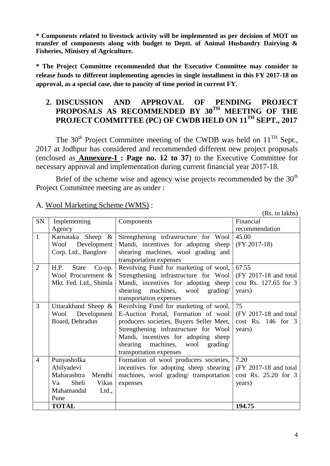**\* Components related to livestock activity will be implemented as per decision of MOT on transfer of components along with budget to Deptt. of Animal Husbandry Dairying & Fisheries, Ministry of Agriculture.** 

**\* The Project Committee recommended that the Executive Committee may consider to release funds to different implementing agencies in single installment in this FY 2017-18 on approval, as a special case, due to paucity of time period in current FY.** 

#### **2. DISCUSSION AND APPROVAL OF PENDING PROJECT PROPOSALS AS RECOMMENDED BY 30TH MEETING OF THE PROJECT COMMITTEE (PC) OF CWDB HELD ON 11TH SEPT., 2017**

The  $30<sup>th</sup>$  Project Committee meeting of the CWDB was held on  $11<sup>TH</sup>$  Sept., 2017 at Jodhpur has considered and recommended different new project proposals (enclosed as **Annexure-I : Page no. 12 to 37**) to the Executive Committee for necessary approval and implementation during current financial year 2017-18.

Brief of the scheme wise and agency wise projects recommended by the  $30<sup>th</sup>$ Project Committee meeting are as under :

|                |                            |                                          | (Rs. in lakhs)        |
|----------------|----------------------------|------------------------------------------|-----------------------|
| SN             | Implementing               | Components                               | Financial             |
|                | Agency                     |                                          | recommendation        |
| $\mathbf{1}$   | $\&$<br>Karnataka<br>Sheep | Strengthening infrastructure for Wool    | 45.00                 |
|                | Development<br>Wool        | Mandi, incentives for adopting sheep     | $(FY 2017-18)$        |
|                | Corp. Ltd., Banglore       | shearing machines, wool grading and      |                       |
|                |                            | transportation expenses                  |                       |
| $\overline{2}$ | Co-op.<br>H.P.<br>State    | Revolving Fund for marketing of wool,    | 67.55                 |
|                | Wool Procurement &         | Strengthening infrastructure for Wool    | (FY 2017-18 and total |
|                | Mkt. Fed. Ltd., Shimla     | Mandi, incentives for adopting sheep     | cost Rs. 127.65 for 3 |
|                |                            | shearing machines,<br>wool<br>grading/   | years)                |
|                |                            | transportation expenses                  |                       |
| 3              | Uttarakhand Sheep &        | Revolving Fund for marketing of wool,    | 75                    |
|                | Development<br>Wool        | E-Auction Portal, Formation of wool      | (FY 2017-18 and total |
|                | Board, Dehradun            | producers societies, Buyers Seller Meet, | $cost$ Rs. 146 for 3  |
|                |                            | Strengthening infrastructure for Wool    | years)                |
|                |                            | Mandi, incentives for adopting sheep     |                       |
|                |                            | shearing<br>machines, wool<br>grading/   |                       |
|                |                            | transportation expenses                  |                       |
| $\overline{4}$ | Punyasholka                | Formation of wool producers societies,   | 7.20                  |
|                | Ahilyadevi                 | incentives for adopting sheep shearing   | (FY 2017-18 and total |
|                | Maharashtra<br>Mendhi      | machines, wool grading/ transportation   | cost Rs. 25.20 for 3  |
|                | Sheli<br>Va<br>Vikas       | expenses                                 | years)                |
|                | Mahamandal<br>Ltd.,        |                                          |                       |
|                | Pune                       |                                          |                       |
|                | <b>TOTAL</b>               |                                          | 194.75                |

#### A. Wool Marketing Scheme (WMS) :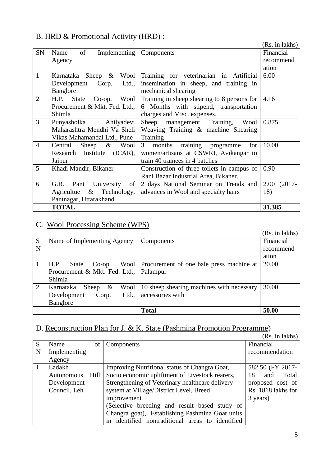# B. HRD & Promotional Activity (HRD) :

|                |                                           |                                             | (Rs. in lakhs)    |
|----------------|-------------------------------------------|---------------------------------------------|-------------------|
| <b>SN</b>      | of<br>Implementing<br>Name                | Components                                  | Financial         |
|                | Agency                                    |                                             | recommend         |
|                |                                           |                                             | ation             |
| $\mathbf{1}$   | Sheep $\&$<br>Wool<br>Karnataka           | Training for veterinarian in Artificial     | 6.00              |
|                | Development<br>Corp.<br>Ltd.,             | insemination in sheep, and training in      |                   |
|                | Banglore                                  | mechanical shearing                         |                   |
| $\overline{2}$ | H.P.<br>Wool<br><b>State</b><br>$Co$ -op. | Training in sheep shearing to 8 persons for | 4.16              |
|                | Procurement & Mkt. Fed. Ltd.,             | 6 Months with stipend, transportation       |                   |
|                | Shimla                                    | charges and Misc. expenses.                 |                   |
| 3              | Punyasholka<br>Ahilyadevi                 | Sheep management Training,<br>Wool          | 0.875             |
|                | Maharashtra Mendhi Va Sheli               | Weaving Training & machine Shearing         |                   |
|                | Vikas Mahamandal Ltd., Pune               | Training                                    |                   |
| $\overline{4}$ | Sheep<br>$\&$<br>Central<br>Wool          | training programme<br>months<br>3<br>for    | 10.00             |
|                | Research Institute<br>(ICAR),             | women/artisans at CSWRI, Avikangar to       |                   |
|                | Jaipur                                    | train 40 trainees in 4 batches              |                   |
| 5              | Khadi Mandir, Bikaner                     | Construction of three toilets in campus of  | 0.90              |
|                |                                           | Rani Bazar Industrial Area, Bikaner.        |                   |
| 6              | University<br>G.B.<br>Pant<br>of          | 2 days National Seminar on Trends and       | 2.00<br>$(2017 -$ |
|                | Technology,<br>$\&$<br>Agricultue         | advances in Wool and specialty hairs        | 18)               |
|                | Pantnagar, Uttarakhand                    |                                             |                   |
|                | <b>TOTAL</b>                              |                                             | 31.385            |

# C. Wool Processing Scheme (WPS)

|   |                                          |                                                 | (Rs. in lakhs) |
|---|------------------------------------------|-------------------------------------------------|----------------|
| S | Name of Implementing Agency              | Components                                      | Financial      |
| N |                                          |                                                 | recommend      |
|   |                                          |                                                 | ation          |
|   | H.P.<br><b>State</b><br>$Co$ -op.        | Wool   Procurement of one bale press machine at | 20.00          |
|   | Procurement & Mkt. Fed. Ltd.,   Palampur |                                                 |                |
|   | Shimla                                   |                                                 |                |
| 2 | Karnataka<br>$\&$<br>Wool  <br>Sheep     | 10 sheep shearing machines with necessary       | 30.00          |
|   | Development<br>Ltd.,<br>Corp.            | accessories with                                |                |
|   | Banglore                                 |                                                 |                |
|   |                                          | <b>Total</b>                                    | 50.00          |

# D. Reconstruction Plan for J. & K. State (Pashmina Promotion Programme)

|   |              |        |                                                  | (Rs. in lakhs)     |
|---|--------------|--------|--------------------------------------------------|--------------------|
| S | Name         | of     | Components                                       | Financial          |
| N | Implementing |        |                                                  | recommendation     |
|   | Agency       |        |                                                  |                    |
|   | Ladakh       |        | Improving Nutritional status of Changra Goat,    | 582.50 (FY 2017-   |
|   | Autonomous   | Hill I | Socio economic upliftment of Livestock rearers,  | Total<br>18<br>and |
|   | Development  |        | Strengthening of Veterinary healthcare delivery  | proposed cost of   |
|   | Council, Leh |        | system at Village/District Level, Breed          | Rs. 1818 lakhs for |
|   |              |        | improvement                                      | 3 years)           |
|   |              |        | (Selective breeding and result based study of    |                    |
|   |              |        | Changra goat), Establishing Pashmina Goat units  |                    |
|   |              |        | in identified nontraditional areas to identified |                    |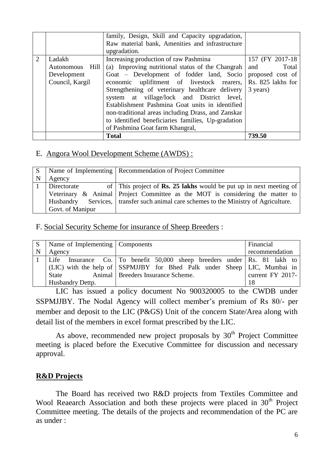|                             |                                                             | family, Design, Skill and Capacity upgradation,<br>Raw material bank, Amenities and infrastructure<br>upgradation.                                                                                                                                                                                                                                                                                                                                                                                                        |                                              |
|-----------------------------|-------------------------------------------------------------|---------------------------------------------------------------------------------------------------------------------------------------------------------------------------------------------------------------------------------------------------------------------------------------------------------------------------------------------------------------------------------------------------------------------------------------------------------------------------------------------------------------------------|----------------------------------------------|
| $\mathcal{D}_{\mathcal{L}}$ | Ladakh<br>Autonomous Hill<br>Development<br>Council, Kargil | Increasing production of raw Pashmina<br>(a) Improving nutritional status of the Changrah<br>Goat – Development of fodder land, Socio proposed cost of<br>economic uplifitment of livestock rearers, Rs. 825 lakhs for<br>Strengthening of veterinary healthcare delivery<br>system at village/lock and District level,<br>Establishment Pashmina Goat units in identified<br>non-traditional areas including Drass, and Zanskar<br>to identified beneficiaries families, Up-gradation<br>of Pashmina Goat farm Khangral, | 157 (FY 2017-18)<br>Total<br>and<br>3 years) |
|                             |                                                             | <b>Total</b>                                                                                                                                                                                                                                                                                                                                                                                                                                                                                                              | 739.50                                       |

#### E. Angora Wool Development Scheme (AWDS) :

| S.           |                  | Name of Implementing   Recommendation of Project Committee                            |
|--------------|------------------|---------------------------------------------------------------------------------------|
| $\mathsf{N}$ | Agency           |                                                                                       |
|              | Directorate      | of This project of <b>Rs. 25 lakhs</b> would be put up in next meeting of             |
|              |                  | Veterinary & Animal Project Committee as the MOT is considering the matter to         |
|              |                  | Husbandry Services, transfer such animal care schemes to the Ministry of Agriculture. |
|              | Govt. of Manipur |                                                                                       |

F. Social Security Scheme for insurance of Sheep Breeders :

| S | Name of Implementing Components |                                                                          | Financial          |
|---|---------------------------------|--------------------------------------------------------------------------|--------------------|
| N | Agency                          |                                                                          | recommendation     |
|   |                                 | Life Insurance Co. To benefit 50,000 sheep breeders under Rs. 81 lakh to |                    |
|   |                                 | (LIC) with the help of SSPMJJBY for Bhed Palk under Sheep LIC, Mumbai in |                    |
|   | State                           | Animal   Breeders Insurance Scheme.                                      | current $FY$ 2017- |
|   | Husbandry Dettp.                |                                                                          |                    |

LIC has issued a policy document No 900320005 to the CWDB under SSPMJJBY. The Nodal Agency will collect member"s premium of Rs 80/- per member and deposit to the LIC (P&GS) Unit of the concern State/Area along with detail list of the members in excel format prescribed by the LIC.

As above, recommended new project proposals by  $30<sup>th</sup>$  Project Committee meeting is placed before the Executive Committee for discussion and necessary approval.

## **R&D Projects**

The Board has received two R&D projects from Textiles Committee and Wool Reaearch Association and both these projects were placed in  $30<sup>th</sup>$  Project Committee meeting. The details of the projects and recommendation of the PC are as under :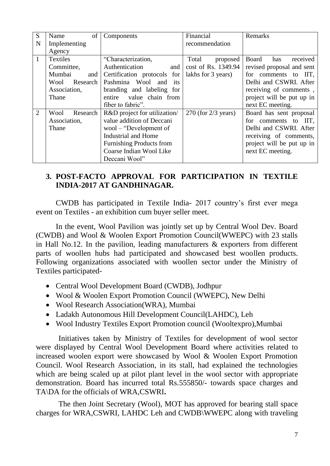| S              | of<br>Name       | Components                      | Financial               | Remarks                   |
|----------------|------------------|---------------------------------|-------------------------|---------------------------|
| N              | Implementing     |                                 | recommendation          |                           |
|                | Agency           |                                 |                         |                           |
| $\mathbf{1}$   | <b>Textiles</b>  | "Characterization,              | Total<br>proposed       | Board<br>received<br>has  |
|                | Committee,       | Authentication<br>and           | cost of Rs. 1349.94     | revised proposal and sent |
|                | Mumbai<br>and    | Certification protocols for     | lakhs for 3 years)      | for comments to IIT,      |
|                | Wool Research    | Pashmina Wool and<br>its        |                         | Delhi and CSWRI. After    |
|                | Association,     | branding and labeling for       |                         | receiving of comments,    |
|                | Thane            | entire value chain from         |                         | project will be put up in |
|                |                  | fiber to fabric".               |                         | next EC meeting.          |
| $\overline{2}$ | Research<br>Wool | R&D project for utilization/    | $270$ (for $2/3$ years) | Board has sent proposal   |
|                | Association,     | value addition of Deccani       |                         | for comments to IIT,      |
|                | Thane            | wool – "Development of          |                         | Delhi and CSWRI. After    |
|                |                  | Industrial and Home             |                         | receiving of comments,    |
|                |                  | <b>Furnishing Products from</b> |                         | project will be put up in |
|                |                  | Coarse Indian Wool Like         |                         | next EC meeting.          |
|                |                  | Deccani Wool"                   |                         |                           |

## **3. POST-FACTO APPROVAL FOR PARTICIPATION IN TEXTILE INDIA-2017 AT GANDHINAGAR.**

CWDB has participated in Textile India- 2017 country"s first ever mega event on Textiles - an exhibition cum buyer seller meet.

In the event, Wool Pavilion was jointly set up by Central Wool Dev. Board (CWDB) and Wool & Woolen Export Promotion Council(WWEPC) with 23 stalls in Hall No.12. In the pavilion, leading manufacturers & exporters from different parts of woollen hubs had participated and showcased best woollen products. Following organizations associated with woollen sector under the Ministry of Textiles participated-

- Central Wool Development Board (CWDB), Jodhpur
- Wool & Woolen Export Promotion Council (WWEPC), New Delhi
- Wool Research Association(WRA), Mumbai
- Ladakh Autonomous Hill Development Council(LAHDC), Leh
- Wool Industry Textiles Export Promotion council (Wooltexpro),Mumbai

Initiatives taken by Ministry of Textiles for development of wool sector were displayed by Central Wool Development Board where activities related to increased woolen export were showcased by Wool & Woolen Export Promotion Council. Wool Research Association, in its stall, had explained the technologies which are being scaled up at pilot plant level in the wool sector with appropriate demonstration. Board has incurred total Rs.555850/- towards space charges and TA\DA for the officials of WRA,CSWRI**.**

The then Joint Secretary (Wool), MOT has approved for bearing stall space charges for WRA,CSWRI, LAHDC Leh and CWDB\WWEPC along with traveling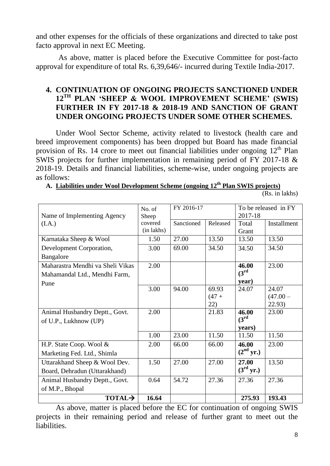and other expenses for the officials of these organizations and directed to take post facto approval in next EC Meeting.

As above, matter is placed before the Executive Committee for post-facto approval for expenditure of total Rs. 6,39,646/- incurred during Textile India-2017.

## **4. CONTINUATION OF ONGOING PROJECTS SANCTIONED UNDER 12TH PLAN "SHEEP & WOOL IMPROVEMENT SCHEME" (SWIS) FURTHER IN FY 2017-18 & 2018-19 AND SANCTION OF GRANT UNDER ONGOING PROJECTS UNDER SOME OTHER SCHEMES.**

Under Wool Sector Scheme, activity related to livestock (health care and breed improvement components) has been dropped but Board has made financial provision of Rs. 14 crore to meet out financial liabilities under ongoing  $12<sup>th</sup>$  Plan SWIS projects for further implementation in remaining period of FY 2017-18 & 2018-19. Details and financial liabilities, scheme-wise, under ongoing projects are as follows: **A. Liabilities under Wool Development Scheme (ongoing 12th Plan SWIS projects)**

| A. Liabilities under <i>wood development</i> scheme (ongoing $12$ ) framewho broiects) |                |
|----------------------------------------------------------------------------------------|----------------|
|                                                                                        | (Rs. in lakhs) |

|                                  | No. of     | FY 2016-17 |          | To be released in FY  |             |  |
|----------------------------------|------------|------------|----------|-----------------------|-------------|--|
| Name of Implementing Agency      | Sheep      |            |          | 2017-18               |             |  |
| (I.A.)                           | covered    | Sanctioned | Released | Total                 | Installment |  |
|                                  | (in lakhs) |            |          | Grant                 |             |  |
| Karnataka Sheep & Wool           | 1.50       | 27.00      | 13.50    | 13.50                 | 13.50       |  |
| Development Corporation,         | 3.00       | 69.00      | 34.50    | 34.50                 | 34.50       |  |
| Bangalore                        |            |            |          |                       |             |  |
| Maharastra Mendhi va Sheli Vikas | 2.00       |            |          | 46.00                 | 23.00       |  |
| Mahamandal Ltd., Mendhi Farm,    |            |            |          | $(3^{rd}$             |             |  |
| Pune                             |            |            |          | year)                 |             |  |
|                                  | 3.00       | 94.00      | 69.93    | 24.07                 | 24.07       |  |
|                                  |            |            | $(47 +$  |                       | $(47.00 -$  |  |
|                                  |            |            | 22)      |                       | 22.93)      |  |
| Animal Husbandry Deptt., Govt.   | 2.00       |            | 21.83    | 46.00                 | 23.00       |  |
| of U.P., Lukhnow (UP)            |            |            |          | $(3^{rd}$             |             |  |
|                                  |            |            |          | years)                |             |  |
|                                  | 1.00       | 23.00      | 11.50    | 11.50                 | 11.50       |  |
| H.P. State Coop. Wool &          | 2.00       | 66.00      | 66.00    | 46.00                 | 23.00       |  |
| Marketing Fed. Ltd., Shimla      |            |            |          | (2 <sup>nd</sup> yr.) |             |  |
| Uttarakhand Sheep & Wool Dev.    | 1.50       | 27.00      | 27.00    | 27.00                 | 13.50       |  |
| Board, Dehradun (Uttarakhand)    |            |            |          | (3 <sup>rd</sup> yr.) |             |  |
| Animal Husbandry Deptt., Govt.   | 0.64       | 54.72      | 27.36    | 27.36                 | 27.36       |  |
| of M.P., Bhopal                  |            |            |          |                       |             |  |
| TOTAL <sub>2</sub>               | 16.64      |            |          | 275.93                | 193.43      |  |

As above, matter is placed before the EC for continuation of ongoing SWIS projects in their remaining period and release of further grant to meet out the liabilities.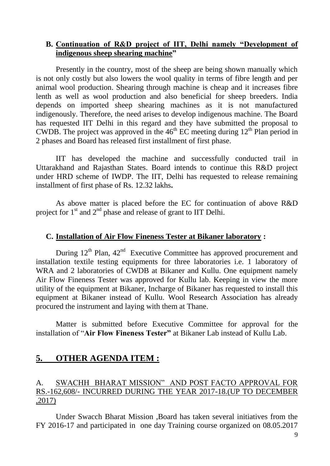#### **B. Continuation of R&D project of IIT, Delhi namely "Development of indigenous sheep shearing machine"**

Presently in the country, most of the sheep are being shown manually which is not only costly but also lowers the wool quality in terms of fibre length and per animal wool production. Shearing through machine is cheap and it increases fibre lenth as well as wool production and also beneficial for sheep breeders. India depends on imported sheep shearing machines as it is not manufactured indigenously. Therefore, the need arises to develop indigenous machine. The Board has requested IIT Delhi in this regard and they have submitted the proposal to CWDB. The project was approved in the  $46<sup>th</sup>$  EC meeting during  $12<sup>th</sup>$  Plan period in 2 phases and Board has released first installment of first phase.

IIT has developed the machine and successfully conducted trail in Uttarakhand and Rajasthan States. Board intends to continue this R&D project under HRD scheme of IWDP. The IIT, Delhi has requested to release remaining installment of first phase of Rs. 12.32 lakhs**.** 

As above matter is placed before the EC for continuation of above R&D project for  $1<sup>st</sup>$  and  $2<sup>nd</sup>$  phase and release of grant to IIT Delhi.

#### **C. Installation of Air Flow Fineness Tester at Bikaner laboratory :**

During  $12^{th}$  Plan,  $42^{nd}$  Executive Committee has approved procurement and installation textile testing equipments for three laboratories i.e. 1 laboratory of WRA and 2 laboratories of CWDB at Bikaner and Kullu. One equipment namely Air Flow Fineness Tester was approved for Kullu lab. Keeping in view the more utility of the equipment at Bikaner, Incharge of Bikaner has requested to install this equipment at Bikaner instead of Kullu. Wool Research Association has already procured the instrument and laying with them at Thane.

Matter is submitted before Executive Committee for approval for the installation of "**Air Flow Fineness Tester"** at Bikaner Lab instead of Kullu Lab.

## **5. OTHER AGENDA ITEM :**

#### A. SWACHH BHARAT MISSION" AND POST FACTO APPROVAL FOR RS.-162,608/- INCURRED DURING THE YEAR 2017-18.(UP TO DECEMBER ,2017)

Under Swacch Bharat Mission ,Board has taken several initiatives from the FY 2016-17 and participated in one day Training course organized on 08.05.2017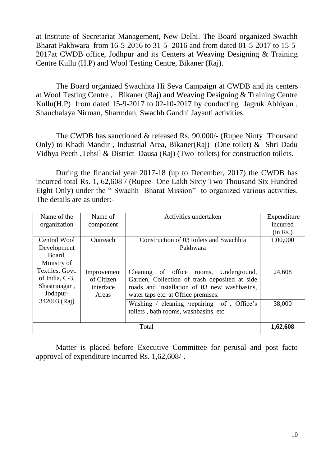at Institute of Secretariat Management, New Delhi. The Board organized Swachh Bharat Pakhwara from 16-5-2016 to 31-5 -2016 and from dated 01-5-2017 to 15-5- 2017at CWDB office, Jodhpur and its Centers at Weaving Designing & Training Centre Kullu (H.P) and Wool Testing Centre, Bikaner (Raj).

The Board organized Swachhta Hi Seva Campaign at CWDB and its centers at Wool Testing Centre , Bikaner (Raj) and Weaving Designing & Training Centre Kullu(H.P) from dated 15-9-2017 to 02-10-2017 by conducting Jagruk Abhiyan , Shauchalaya Nirman, Sharmdan, Swachh Gandhi Jayanti activities.

The CWDB has sanctioned & released Rs. 90,000/- (Rupee Ninty Thousand Only) to Khadi Mandir , Industrial Area, Bikaner(Raj) (One toilet) & Shri Dadu Vidhya Peeth ,Tehsil & District Dausa (Raj) (Two toilets) for construction toilets.

During the financial year 2017-18 (up to December, 2017) the CWDB has incurred total Rs. 1, 62,608 / (Rupee- One Lakh Sixty Two Thousand Six Hundred Eight Only) under the " Swachh Bharat Mission" to organized various activities. The details are as under:-

| Name of the<br>organization                                    | Name of<br>component                            | Activities undertaken                                                                                                                                                          | Expenditure<br>incurred<br>(in Rs.) |
|----------------------------------------------------------------|-------------------------------------------------|--------------------------------------------------------------------------------------------------------------------------------------------------------------------------------|-------------------------------------|
| Central Wool<br>Development<br>Board,<br>Ministry of           | Outreach                                        | Construction of 03 toilets and Swachhta<br>Pakhwara                                                                                                                            | 1,00,000                            |
| Textiles, Govt.<br>of India, C-3,<br>Shastrinagar,<br>Jodhpur- | Improvement<br>of Citizen<br>interface<br>Areas | Cleaning of office rooms, Underground,<br>Garden, Collection of trash deposited at side<br>roads and installation of 03 new washbasins,<br>water taps etc. at Office premises. | 24,608                              |
| 342003 (Raj)                                                   |                                                 | Washing / cleaning /repairing of, Office's<br>toilets, bath rooms, washbasins etc                                                                                              | 38,000                              |
|                                                                |                                                 | Total                                                                                                                                                                          | 1,62,608                            |

Matter is placed before Executive Committee for perusal and post facto approval of expenditure incurred Rs. 1,62,608/-.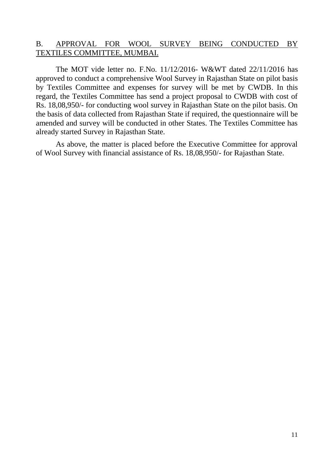#### B. APPROVAL FOR WOOL SURVEY BEING CONDUCTED BY TEXTILES COMMITTEE, MUMBAI.

The MOT vide letter no. F.No. 11/12/2016- W&WT dated 22/11/2016 has approved to conduct a comprehensive Wool Survey in Rajasthan State on pilot basis by Textiles Committee and expenses for survey will be met by CWDB. In this regard, the Textiles Committee has send a project proposal to CWDB with cost of Rs. 18,08,950/- for conducting wool survey in Rajasthan State on the pilot basis. On the basis of data collected from Rajasthan State if required, the questionnaire will be amended and survey will be conducted in other States. The Textiles Committee has already started Survey in Rajasthan State.

As above, the matter is placed before the Executive Committee for approval of Wool Survey with financial assistance of Rs. 18,08,950/- for Rajasthan State.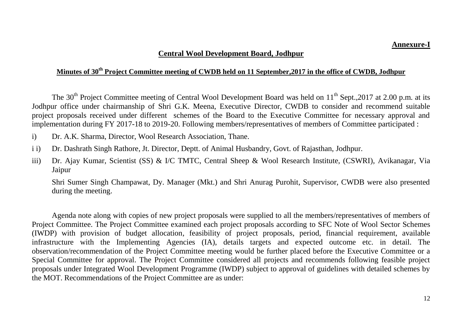#### **Central Wool Development Board, Jodhpur**

#### **Minutes of 30th Project Committee meeting of CWDB held on 11 September,2017 in the office of CWDB, Jodhpur**

The 30<sup>th</sup> Project Committee meeting of Central Wool Development Board was held on  $11^{th}$  Sept., 2017 at 2.00 p.m. at its Jodhpur office under chairmanship of Shri G.K. Meena, Executive Director, CWDB to consider and recommend suitable project proposals received under different schemes of the Board to the Executive Committee for necessary approval and implementation during FY 2017-18 to 2019-20. Following members/representatives of members of Committee participated :

- i) Dr. A.K. Sharma, Director, Wool Research Association, Thane.
- i i) Dr. Dashrath Singh Rathore, Jt. Director, Deptt. of Animal Husbandry, Govt. of Rajasthan, Jodhpur.
- iii) Dr. Ajay Kumar, Scientist (SS) & I/C TMTC, Central Sheep & Wool Research Institute, (CSWRI), Avikanagar, Via Jaipur

Shri Sumer Singh Champawat, Dy. Manager (Mkt.) and Shri Anurag Purohit, Supervisor, CWDB were also presented during the meeting.

Agenda note along with copies of new project proposals were supplied to all the members/representatives of members of Project Committee. The Project Committee examined each project proposals according to SFC Note of Wool Sector Schemes (IWDP) with provision of budget allocation, feasibility of project proposals, period, financial requirement, available infrastructure with the Implementing Agencies (IA), details targets and expected outcome etc. in detail. The observation/recommendation of the Project Committee meeting would be further placed before the Executive Committee or a Special Committee for approval. The Project Committee considered all projects and recommends following feasible project proposals under Integrated Wool Development Programme (IWDP) subject to approval of guidelines with detailed schemes by the MOT. Recommendations of the Project Committee are as under: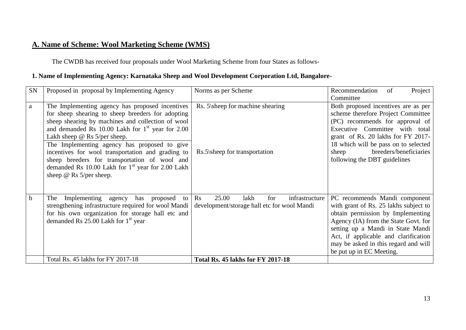# **A. Name of Scheme: Wool Marketing Scheme (WMS)**

The CWDB has received four proposals under Wool Marketing Scheme from four States as follows-

## **1. Name of Implementing Agency: Karnataka Sheep and Wool Development Corporation Ltd, Bangalore-**

| SN | Proposed in proposal by Implementing Agency                  | Norms as per Scheme                                      | Recommendation<br>Project<br>of       |
|----|--------------------------------------------------------------|----------------------------------------------------------|---------------------------------------|
|    |                                                              |                                                          | Committee                             |
| a  | The Implementing agency has proposed incentives              | Rs. 5\sheep for machine shearing                         | Both proposed incentives are as per   |
|    | for sheep shearing to sheep breeders for adopting            |                                                          | scheme therefore Project Committee    |
|    | sheep shearing by machines and collection of wool            |                                                          | (PC) recommends for approval of       |
|    | and demanded Rs 10.00 Lakh for 1 <sup>st</sup> year for 2.00 |                                                          | Executive Committee with total        |
|    | Lakh sheep $\omega$ Rs 5/per sheep.                          |                                                          | grant of Rs. 20 lakhs for FY 2017-    |
|    | The Implementing agency has proposed to give                 |                                                          | 18 which will be pass on to selected  |
|    | incentives for wool transportation and grading to            | Rs.5\sheep for transportation                            | breeders/beneficiaries<br>sheep       |
|    | sheep breeders for transportation of wool and                |                                                          | following the DBT guidelines          |
|    | demanded Rs 10.00 Lakh for $1st$ year for 2.00 Lakh          |                                                          |                                       |
|    | sheep @ Rs 5/per sheep.                                      |                                                          |                                       |
|    |                                                              |                                                          |                                       |
|    |                                                              |                                                          |                                       |
| b. | Implementing agency has proposed<br>The<br>to                | 25.00<br>infrastructure<br>$\mathbf{R}$ s<br>lakh<br>for | PC recommends Mandi component         |
|    | strengthening infrastructure required for wool Mandi         | development/storage hall etc for wool Mandi              | with grant of Rs. 25 lakhs subject to |
|    | for his own organization for storage hall etc and            |                                                          | obtain permission by Implementing     |
|    | demanded Rs $25.00$ Lakh for $1st$ year                      |                                                          | Agency (IA) from the State Govt. for  |
|    |                                                              |                                                          | setting up a Mandi in State Mandi     |
|    |                                                              |                                                          | Act, if applicable and clarification  |
|    |                                                              |                                                          | may be asked in this regard and will  |
|    |                                                              |                                                          | be put up in EC Meeting.              |
|    | Total Rs. 45 lakhs for FY 2017-18                            | <b>Total Rs. 45 lakhs for FY 2017-18</b>                 |                                       |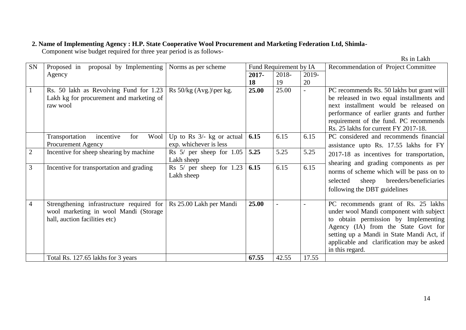#### **2. Name of Implementing Agency : H.P. State Cooperative Wool Procurement and Marketing Federation Ltd, Shimla-**

Component wise budget required for three year period is as follows-

|  | Rs in Lakh |
|--|------------|
|--|------------|

| SN             | Proposed in<br>proposal by Implementing                                                                             | Norms as per scheme                                   |          | Fund Requirement by IA |        | Recommendation of Project Committee                                                                                                                                                                                                                                        |
|----------------|---------------------------------------------------------------------------------------------------------------------|-------------------------------------------------------|----------|------------------------|--------|----------------------------------------------------------------------------------------------------------------------------------------------------------------------------------------------------------------------------------------------------------------------------|
|                | Agency                                                                                                              |                                                       | $2017 -$ | 2018-                  | 2019-  |                                                                                                                                                                                                                                                                            |
|                |                                                                                                                     |                                                       | 18       | 19                     | 20     |                                                                                                                                                                                                                                                                            |
|                | Rs. 50 lakh as Revolving Fund for 1.23<br>Lakh kg for procurement and marketing of<br>raw wool                      | Rs $50/kg$ (Avg.) per kg.                             | 25.00    | 25.00                  | $\sim$ | PC recommends Rs. 50 lakhs but grant will<br>be released in two equal installments and<br>next installment would be released on<br>performance of earlier grants and further<br>requirement of the fund. PC recommends<br>Rs. 25 lakhs for current FY 2017-18.             |
|                | Transportation<br>incentive<br>Wool<br>for<br>Procurement Agency                                                    | Up to Rs $3/-$ kg or actual<br>exp. whichever is less | 6.15     | 6.15                   | 6.15   | PC considered and recommends financial<br>assistance upto Rs. 17.55 lakhs for FY                                                                                                                                                                                           |
| $\overline{2}$ | Incentive for sheep shearing by machine                                                                             | Rs $5/$ per sheep for $1.05$<br>Lakh sheep            | 5.25     | 5.25                   | 5.25   | 2017-18 as incentives for transportation,                                                                                                                                                                                                                                  |
| 3              | Incentive for transportation and grading                                                                            | Rs $5/$ per sheep for 1.23<br>Lakh sheep              | 6.15     | 6.15                   | 6.15   | shearing and grading components as per<br>norms of scheme which will be pass on to<br>breeders/beneficiaries<br>selected<br>sheep<br>following the DBT guidelines                                                                                                          |
| $\overline{4}$ | Strengthening infrastructure required for<br>wool marketing in wool Mandi (Storage<br>hall, auction facilities etc) | Rs 25.00 Lakh per Mandi                               | 25.00    |                        |        | PC recommends grant of Rs. 25 lakhs<br>under wool Mandi component with subject<br>to obtain permission by Implementing<br>Agency (IA) from the State Govt for<br>setting up a Mandi in State Mandi Act, if<br>applicable and clarification may be asked<br>in this regard. |
|                | Total Rs. 127.65 lakhs for 3 years                                                                                  |                                                       | 67.55    | 42.55                  | 17.55  |                                                                                                                                                                                                                                                                            |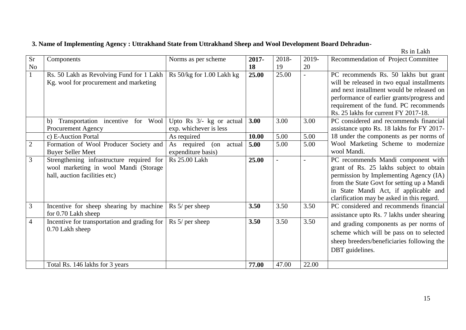## **3. Name of Implementing Agency : Uttrakhand State from Uttrakhand Sheep and Wool Development Board Dehradun-**

Rs in Lakh

| <b>Sr</b>      | Components                                                           | Norms as per scheme        | 2017- | 2018- | 2019-          | Recommendation of Project Committee        |
|----------------|----------------------------------------------------------------------|----------------------------|-------|-------|----------------|--------------------------------------------|
| No             |                                                                      |                            | 18    | 19    | 20             |                                            |
|                | Rs. 50 Lakh as Revolving Fund for 1 Lakh                             | Rs 50/kg for 1.00 Lakh kg  | 25.00 | 25.00 | $\overline{a}$ | PC recommends Rs. 50 lakhs but grant       |
|                | Kg. wool for procurement and marketing                               |                            |       |       |                | will be released in two equal installments |
|                |                                                                      |                            |       |       |                | and next installment would be released on  |
|                |                                                                      |                            |       |       |                | performance of earlier grants/progress and |
|                |                                                                      |                            |       |       |                | requirement of the fund. PC recommends     |
|                |                                                                      |                            |       |       |                | Rs. 25 lakhs for current FY 2017-18.       |
|                | Transportation incentive for Wool<br>b)                              | Upto Rs $3/-$ kg or actual | 3.00  | 3.00  | 3.00           | PC considered and recommends financial     |
|                | <b>Procurement Agency</b>                                            | exp. whichever is less     |       |       |                | assistance upto Rs. 18 lakhs for FY 2017-  |
|                | c) E-Auction Portal                                                  | As required                | 10.00 | 5.00  | 5.00           | 18 under the components as per norms of    |
| $\overline{2}$ | Formation of Wool Producer Society and                               | As required<br>(on actual  | 5.00  | 5.00  | 5.00           | Wool Marketing Scheme to modernize         |
|                | <b>Buyer Seller Meet</b>                                             | expenditure basis)         |       |       |                | wool Mandi.                                |
| $\overline{3}$ | Strengthening infrastructure required for                            | <b>Rs</b> 25.00 Lakh       | 25.00 |       |                | PC recommends Mandi component with         |
|                | wool marketing in wool Mandi (Storage                                |                            |       |       |                | grant of Rs. 25 lakhs subject to obtain    |
|                | hall, auction facilities etc)                                        |                            |       |       |                | permission by Implementing Agency (IA)     |
|                |                                                                      |                            |       |       |                | from the State Govt for setting up a Mandi |
|                |                                                                      |                            |       |       |                | in State Mandi Act, if applicable and      |
|                |                                                                      |                            |       |       |                | clarification may be asked in this regard. |
| 3              | Incentive for sheep shearing by machine                              | $\text{Rs } 5$ per sheep   | 3.50  | 3.50  | 3.50           | PC considered and recommends financial     |
|                | for 0.70 Lakh sheep                                                  |                            |       |       |                | assistance upto Rs. 7 lakhs under shearing |
| $\overline{4}$ | Incentive for transportation and grading for $\vert$ Rs 5/ per sheep |                            | 3.50  | 3.50  | 3.50           | and grading components as per norms of     |
|                | 0.70 Lakh sheep                                                      |                            |       |       |                | scheme which will be pass on to selected   |
|                |                                                                      |                            |       |       |                | sheep breeders/beneficiaries following the |
|                |                                                                      |                            |       |       |                | DBT guidelines.                            |
|                |                                                                      |                            |       |       |                |                                            |
|                | Total Rs. 146 lakhs for 3 years                                      |                            | 77.00 | 47.00 | 22.00          |                                            |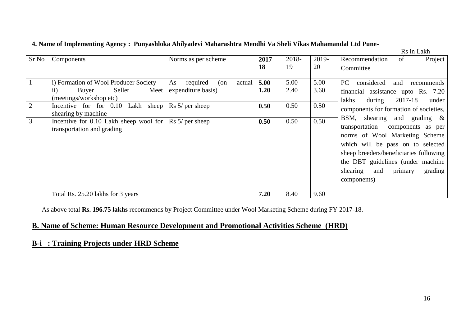|                |                                                                               |                                                       |              |              |              |                                                                                                                                                                                                                                          |         | Rs in Lakh                   |
|----------------|-------------------------------------------------------------------------------|-------------------------------------------------------|--------------|--------------|--------------|------------------------------------------------------------------------------------------------------------------------------------------------------------------------------------------------------------------------------------------|---------|------------------------------|
| Sr No          | Components                                                                    | Norms as per scheme                                   | $2017 -$     | 2018-        | 2019-        | Recommendation                                                                                                                                                                                                                           | of      | Project                      |
|                |                                                                               |                                                       | <b>18</b>    | 19           | 20           | Committee                                                                                                                                                                                                                                |         |                              |
|                | i) Formation of Wool Producer Society<br>Seller<br>Meet<br>Buyer<br>$\rm ii)$ | As<br>required<br>actual<br>(on<br>expenditure basis) | 5.00<br>1.20 | 5.00<br>2.40 | 5.00<br>3.60 | considered<br>PC<br>financial assistance upto Rs. 7.20                                                                                                                                                                                   | and     | recommends                   |
|                | (meetings/workshop etc)                                                       |                                                       |              |              |              | during<br>lakhs                                                                                                                                                                                                                          | 2017-18 | under                        |
| $\overline{2}$ | Incentive for for 0.10 Lakh<br>sheep<br>shearing by machine                   | $\operatorname{Rs} 5$ per sheep                       | 0.50         | 0.50         | 0.50         | components for formation of societies,                                                                                                                                                                                                   |         |                              |
| 3              | Incentive for $0.10$ Lakh sheep wool for<br>transportation and grading        | $\text{Rs } 5$ / per sheep                            | 0.50         | 0.50         | 0.50         | BSM, shearing and grading $\&$<br>transportation<br>norms of Wool Marketing Scheme<br>which will be pass on to selected<br>sheep breeders/beneficiaries following<br>the DBT guidelines (under machine<br>shearing<br>and<br>components) | primary | components as per<br>grading |
|                | Total Rs. 25.20 lakhs for 3 years                                             |                                                       | 7.20         | 8.40         | 9.60         |                                                                                                                                                                                                                                          |         |                              |

#### **4. Name of Implementing Agency : Punyashloka Ahilyadevi Maharashtra Mendhi Va Sheli Vikas Mahamandal Ltd Pune-**

As above total **Rs. 196.75 lakhs** recommends by Project Committee under Wool Marketing Scheme during FY 2017-18.

#### **B. Name of Scheme: Human Resource Development and Promotional Activities Scheme (HRD)**

## **B-i : Training Projects under HRD Scheme**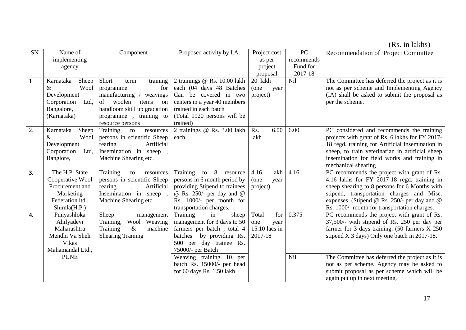(Rs. in lakhs)

| <b>SN</b>    | Name of             | Component                   | Proposed activity by I.A.     | Project cost  | PC         | Recommendation of Project Committee                      |
|--------------|---------------------|-----------------------------|-------------------------------|---------------|------------|----------------------------------------------------------|
|              | implementing        |                             |                               | as per        | recommends |                                                          |
|              | agency              |                             |                               | project       | Fund for   |                                                          |
|              |                     |                             |                               | proposal      | 2017-18    |                                                          |
| $\mathbf{1}$ | Karnataka<br>Sheep  | Short<br>training<br>term   | 2 trainings @ Rs. 10.00 lakh  | 20 lakh       | Nil        | The Committee has deferred the project as it is          |
|              | Wool<br>$\&$        | for<br>programme            | each (04 days 48 Batches      | (one<br>year  |            | not as per scheme and Implementing Agency                |
|              | Development         | manufacturing /<br>weavings | Can be covered in two         | project)      |            | (IA) shall be asked to submit the proposal as            |
|              | Ltd,<br>Corporation | woolen<br>of<br>items<br>on | centers in a year 40 members  |               |            | per the scheme.                                          |
|              | Bangalore,          | handloom skill up gradation | trained in each batch         |               |            |                                                          |
|              | (Karnataka)         | programme, training to      | (Total 1920 persons will be   |               |            |                                                          |
|              |                     | resource persons            | trained)                      |               |            |                                                          |
| 2.           | Karnataka<br>Sheep  | Training<br>to<br>resources | 2 trainings @ Rs. 3.00 lakh   | 6.00<br>Rs.   | 6.00       | PC considered and recommends the training                |
|              | $\&$<br>Wool        | persons in scientific Sheep | each.                         | lakh          |            | projects with grant of Rs. 6 lakhs for FY 2017-          |
|              | Development         | Artificial<br>rearing       |                               |               |            | 18 regd. training for Artificial insemination in         |
|              | Corporation<br>Ltd, | Insemination in sheep,      |                               |               |            | sheep, to train veterinarian in artificial sheep         |
|              | Banglore,           | Machine Shearing etc.       |                               |               |            | insemination for field works and training in             |
|              |                     |                             |                               |               |            | mechanical shearing                                      |
| 3.           | The H.P. State      | Training<br>to<br>resources | Training to 8<br>resource     | lakh<br>4.16  | 4.16       | PC recommends the project with grant of Rs.              |
|              | Cooperative Wool    | persons in scientific Sheep | persons in 6 month period by  | (one<br>year  |            | 4.16 lakhs for FY 2017-18 regd. training in              |
|              | Procurement and     | rearing<br>Artificial       | providing Stipend to trainees | project)      |            | sheep shearing to 8 persons for 6 Months with            |
|              | Marketing           | Insemination in sheep,      | @ Rs. 250/- per day and $@$   |               |            | stipend, transportation charges and Misc.                |
|              | Federation ltd.,    | Machine Shearing etc.       | Rs. 1000/- per month for      |               |            | expenses. (Stipend @ Rs. 250/- per day and @             |
|              | Shimla(H.P.)        |                             | transportation charges.       |               |            | Rs. 1000/- month for transportation charges.             |
| 4.           | Punyashloka         | Sheep<br>management         | Training<br>sheep<br>in       | for<br>Total  | 0.375      | PC recommends the project with grant of Rs.              |
|              | Ahilyadevi          | Wool Weaving<br>Training,   | management for 3 days to 50   | one<br>year   |            | $37,500/$ - with stipend of Rs. 250 per day per          |
|              | Maharashtra         | $\&$<br>Training<br>machine | farmers per batch, total 4    | 15.10 lacs in |            | farmer for 3 days training. $(50 \text{ farmers } X 250$ |
|              | Mendhi Va Sheli     | <b>Shearing Training</b>    | batches by providing Rs.      | 2017-18       |            | stipend X 3 days) Only one batch in 2017-18.             |
|              | Vikas               |                             | 500 per day trainee Rs.       |               |            |                                                          |
|              | Mahamandal Ltd.,    |                             | 75000/- per Batch             |               |            |                                                          |
|              | <b>PUNE</b>         |                             | Weaving training 10 per       |               | <b>Nil</b> | The Committee has deferred the project as it is          |
|              |                     |                             | batch Rs. 15000/- per head    |               |            | not as per scheme. Agency may be asked to                |
|              |                     |                             | for 60 days Rs. 1.50 lakh     |               |            | submit proposal as per scheme which will be              |
|              |                     |                             |                               |               |            | again put up in next meeting.                            |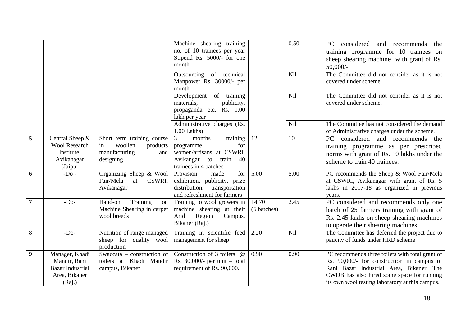|                  |                                                                                      |                                                                                              | Machine shearing training<br>no. of 10 trainees per year<br>Stipend Rs. 5000/- for one<br>month                                    |                      | 0.50       | considered and recommends<br>PC<br>the<br>training programme for 10 trainees on<br>sheep shearing machine with grant of Rs.<br>$50,000/$ -.                                                                                                |
|------------------|--------------------------------------------------------------------------------------|----------------------------------------------------------------------------------------------|------------------------------------------------------------------------------------------------------------------------------------|----------------------|------------|--------------------------------------------------------------------------------------------------------------------------------------------------------------------------------------------------------------------------------------------|
|                  |                                                                                      |                                                                                              | Outsourcing of technical<br>Manpower Rs. 30000/- per<br>month                                                                      |                      | Nil        | The Committee did not consider as it is not<br>covered under scheme.                                                                                                                                                                       |
|                  |                                                                                      |                                                                                              | Development of training<br>materials,<br>publicity,<br>propaganda etc. Rs. 1.00<br>lakh per year                                   |                      | Nil        | The Committee did not consider as it is not<br>covered under scheme.                                                                                                                                                                       |
|                  |                                                                                      |                                                                                              | Administrative charges (Rs.<br>$1.00$ Lakhs)                                                                                       |                      | <b>Nil</b> | The Committee has not considered the demand<br>of Administrative charges under the scheme.                                                                                                                                                 |
| 5                | Central Sheep &<br><b>Wool Research</b><br>Institute,<br>Avikanagar<br>(Jaipur       | Short term training course<br>woollen<br>products<br>in<br>manufacturing<br>and<br>designing | training<br>3<br>months<br>for<br>programme<br>women/artisans at CSWRI,<br>Avikangar<br>to<br>train<br>40<br>trainees in 4 batches | 12                   | 10         | considered and recommends the<br>PC<br>training programme as per prescribed<br>norms with grant of Rs. 10 lakhs under the<br>scheme to train 40 trainees.                                                                                  |
| 6                | $-Do-$                                                                               | Organizing Sheep & Wool<br>Fair/Mela<br>at<br>CSWRI.<br>Avikanagar                           | Provision<br>for<br>made<br>exhibition, publicity, prize<br>distribution, transportation<br>and refreshment for farmers            | $\overline{5.00}$    | 5.00       | PC recommends the Sheep & Wool Fair/Mela<br>at CSWRI, Avikanagar with grant of Rs. 5<br>lakhs in 2017-18 as organized in previous<br>years.                                                                                                |
| $\overline{7}$   | $-Do-$                                                                               | Training<br>Hand-on<br>on<br>Machine Shearing in carpet<br>wool breeds                       | Training to wool growers in<br>machine shearing at their<br>Region<br>Arid<br>Campus,<br>Bikaner (Raj.)                            | 14.70<br>(6 batches) | 2.45       | PC considered and recommends only one<br>batch of 25 farmers training with grant of<br>Rs. 2.45 lakhs on sheep shearing machines<br>to operate their shearing machines.                                                                    |
| 8                | $-Do-$                                                                               | Nutrition of range managed<br>sheep for quality wool<br>production                           | Training in scientific feed<br>management for sheep                                                                                | 2.20                 | Nil        | The Committee has deferred the project due to<br>paucity of funds under HRD scheme                                                                                                                                                         |
| $\boldsymbol{9}$ | Manager, Khadi<br>Mandir, Rani<br><b>Bazar Industrial</b><br>Area, Bikaner<br>(Raj.) | Swaccata – construction of<br>toilets at Khadi Mandir<br>campus, Bikaner                     | Construction of 3 toilets @<br>Rs. 30,000/- per unit $-$ total<br>requirement of Rs. 90,000.                                       | 0.90                 | 0.90       | PC recommends three toilets with total grant of<br>Rs. 90,000/- for construction in campus of<br>Rani Bazar Industrial Area, Bikaner. The<br>CWDB has also hired some space for running<br>its own wool testing laboratory at this campus. |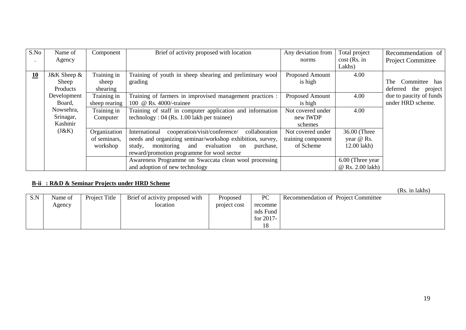| S.No | Name of         | Component     | Brief of activity proposed with location                        | Any deviation from | Total project    | Recommendation of        |
|------|-----------------|---------------|-----------------------------------------------------------------|--------------------|------------------|--------------------------|
|      | Agency          |               |                                                                 | norms              | $cost$ (Rs. in   | <b>Project Committee</b> |
|      |                 |               |                                                                 |                    | Lakhs)           |                          |
| 10   | J&K Sheep &     | Training in   | Training of youth in sheep shearing and preliminary wool        | Proposed Amount    | 4.00             |                          |
|      | Sheep           | sheep         | grading                                                         | is high            |                  | Committee has<br>The     |
|      | <b>Products</b> | shearing      |                                                                 |                    |                  | deferred the project     |
|      | Development     | Training in   | Training of farmers in improvised management practices :        | Proposed Amount    | 4.00             | due to paucity of funds  |
|      | Board,          | sheep rearing | 100 @ Rs. 4000/-trainee                                         | is high            |                  | under HRD scheme.        |
|      | Nowsehra,       | Training in   | Training of staff in computer application and information       | Not covered under  | 4.00             |                          |
|      | Srinagar,       | Computer      | technology: 04 (Rs. 1.00 lakh per trainee)                      | new IWDP           |                  |                          |
|      | Kashmir         |               |                                                                 | schemes            |                  |                          |
|      | (J&K)           | Organization  | cooperation/visit/conference/<br>International<br>collaboration | Not covered under  | 36.00 (Three     |                          |
|      |                 | of seminars,  | needs and organizing seminar/workshop exhibition, survey,       | training component | year @ Rs.       |                          |
|      |                 | workshop      | monitoring and evaluation<br>study,<br>purchase,<br>on          | of Scheme          | 12.00 lakh)      |                          |
|      |                 |               | reward/promotion programme for wool sector                      |                    |                  |                          |
|      |                 |               | Awareness Programme on Swaccata clean wool processing           |                    | 6.00 (Three year |                          |
|      |                 |               | and adoption of new technology                                  |                    | @ Rs. 2.00 lakh) |                          |

#### **B-ii : R&D & Seminar Projects under HRD Scheme**

(Rs. in lakhs)

|     |         |               |                                 |              |              |                                     | $\mathbf{u}$ |
|-----|---------|---------------|---------------------------------|--------------|--------------|-------------------------------------|--------------|
| S.N | Name of | Project Title | Brief of activity proposed with | Proposed     | PC           | Recommendation of Project Committee |              |
|     | Agency  |               | location                        | project cost | recomme      |                                     |              |
|     |         |               |                                 |              | nds Fund     |                                     |              |
|     |         |               |                                 |              | for $2017$ - |                                     |              |
|     |         |               |                                 |              | 1 O          |                                     |              |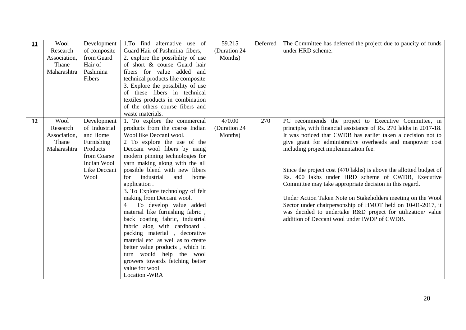| 11        | Wool<br>Research<br>Association,<br>Thane<br>Maharashtra | Development<br>of composite<br>from Guard<br>Hair of<br>Pashmina<br>Fibers                                               | 1. To find alternative use of<br>Guard Hair of Pashmina fibers,<br>2. explore the possibility of use<br>of short & course Guard hair<br>fibers for value added<br>and<br>technical products like composite<br>3. Explore the possibility of use<br>of these fibers in technical                                                                                                                                                                                                                                                                                                                                                                                                                                                             | 59.215<br>(Duration 24)<br>Months) | Deferred | The Committee has deferred the project due to paucity of funds<br>under HRD scheme.                                                                                                                                                                                                                                                                                                                                                                                                                                                                                                                                                                                                                                                |
|-----------|----------------------------------------------------------|--------------------------------------------------------------------------------------------------------------------------|---------------------------------------------------------------------------------------------------------------------------------------------------------------------------------------------------------------------------------------------------------------------------------------------------------------------------------------------------------------------------------------------------------------------------------------------------------------------------------------------------------------------------------------------------------------------------------------------------------------------------------------------------------------------------------------------------------------------------------------------|------------------------------------|----------|------------------------------------------------------------------------------------------------------------------------------------------------------------------------------------------------------------------------------------------------------------------------------------------------------------------------------------------------------------------------------------------------------------------------------------------------------------------------------------------------------------------------------------------------------------------------------------------------------------------------------------------------------------------------------------------------------------------------------------|
|           |                                                          |                                                                                                                          | textiles products in combination<br>of the others course fibers and<br>waste materials.                                                                                                                                                                                                                                                                                                                                                                                                                                                                                                                                                                                                                                                     |                                    |          |                                                                                                                                                                                                                                                                                                                                                                                                                                                                                                                                                                                                                                                                                                                                    |
| <u>12</u> | Wool<br>Research<br>Association,<br>Thane<br>Maharashtra | Development<br>of Industrial<br>and Home<br>Furnishing<br>Products<br>from Coarse<br>Indian Wool<br>Like Deccani<br>Wool | 1. To explore the commercial<br>products from the coarse Indian<br>Wool like Deccani wool.<br>2 To explore the use of the<br>Deceani wool fibers by using<br>modern pinning technologies for<br>yarn making along with the all<br>possible blend with new fibers<br>industrial<br>and<br>for<br>home<br>application.<br>3. To Explore technology of felt<br>making from Deccani wool.<br>To develop value added<br>4<br>material like furnishing fabric,<br>back coating fabric, industrial<br>fabric alog with cardboard,<br>packing material, decorative<br>material etc as well as to create<br>better value products, which in<br>turn would help the wool<br>growers towards fetching better<br>value for wool<br><b>Location -WRA</b> | 470.00<br>(Duration 24<br>Months)  | 270      | PC recommends the project to Executive Committee, in<br>principle, with financial assistance of Rs. 270 lakhs in 2017-18.<br>It was noticed that CWDB has earlier taken a decision not to<br>give grant for administrative overheads and manpower cost<br>including project implementation fee.<br>Since the project cost (470 lakhs) is above the allotted budget of<br>Rs. 400 lakhs under HRD scheme of CWDB, Executive<br>Committee may take appropriate decision in this regard.<br>Under Action Taken Note on Stakeholders meeting on the Wool<br>Sector under chairpersonship of HMOT held on 10-01-2017, it<br>was decided to undertake R&D project for utilization/ value<br>addition of Deccani wool under IWDP of CWDB. |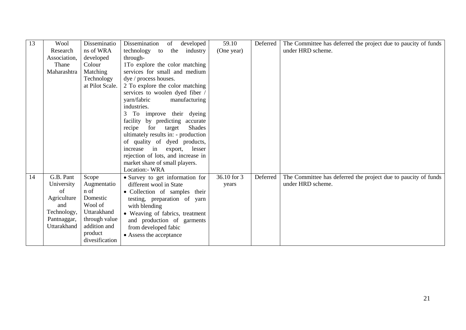| 13 | Wool         | Disseminatio    | Dissemination<br>of<br>developed                                    | 59.10       | Deferred | The Committee has deferred the project due to paucity of funds |
|----|--------------|-----------------|---------------------------------------------------------------------|-------------|----------|----------------------------------------------------------------|
|    | Research     | ns of WRA       | the<br>technology to<br>industry                                    | (One year)  |          | under HRD scheme.                                              |
|    | Association, | developed       | through-                                                            |             |          |                                                                |
|    | Thane        | Colour          | 1To explore the color matching                                      |             |          |                                                                |
|    | Maharashtra  | Matching        | services for small and medium                                       |             |          |                                                                |
|    |              | Technology      | dye / process houses.                                               |             |          |                                                                |
|    |              | at Pilot Scale. | 2 To explore the color matching                                     |             |          |                                                                |
|    |              |                 | services to woolen dyed fiber /                                     |             |          |                                                                |
|    |              |                 | yarn/fabric<br>manufacturing                                        |             |          |                                                                |
|    |              |                 | industries.                                                         |             |          |                                                                |
|    |              |                 | To improve their dyeing<br>3                                        |             |          |                                                                |
|    |              |                 | facility by predicting accurate                                     |             |          |                                                                |
|    |              |                 | for<br><b>Shades</b><br>recipe<br>target                            |             |          |                                                                |
|    |              |                 | ultimately results in: - production<br>of quality of dyed products, |             |          |                                                                |
|    |              |                 | increase<br>in<br>lesser<br>export,                                 |             |          |                                                                |
|    |              |                 | rejection of lots, and increase in                                  |             |          |                                                                |
|    |              |                 | market share of small players.                                      |             |          |                                                                |
|    |              |                 | Location:- WRA                                                      |             |          |                                                                |
| 14 | G.B. Pant    | Scope           | • Survey to get information for                                     | 36.10 for 3 | Deferred | The Committee has deferred the project due to paucity of funds |
|    | University   | Augmentatio     | different wool in State                                             | years       |          | under HRD scheme.                                              |
|    | of           | n of            | • Collection of samples their                                       |             |          |                                                                |
|    | Agriculture  | Domestic        | testing, preparation of yarn                                        |             |          |                                                                |
|    | and          | Wool of         | with blending                                                       |             |          |                                                                |
|    | Technology,  | Uttarakhand     | • Weaving of fabrics, treatment                                     |             |          |                                                                |
|    | Pantnaggar,  | through value   | and production of garments                                          |             |          |                                                                |
|    | Uttarakhand  | addition and    | from developed fabic                                                |             |          |                                                                |
|    |              | product         | • Assess the acceptance                                             |             |          |                                                                |
|    |              | divesification  |                                                                     |             |          |                                                                |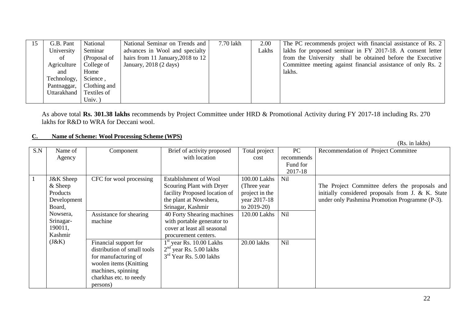| 15 | G.B. Pant   | National     | National Seminar on Trends and      | 7.70 lakh | 2.00  | The PC recommends project with financial assistance of Rs. 2 |
|----|-------------|--------------|-------------------------------------|-----------|-------|--------------------------------------------------------------|
|    | University  | Seminar      | advances in Wool and specialty      |           | Lakhs | lakhs for proposed seminar in FY 2017-18. A consent letter   |
|    | of          | (Proposal of | hairs from 11 January, $2018$ to 12 |           |       | from the University shall be obtained before the Executive   |
|    | Agriculture | College of   | January, $2018$ (2 days)            |           |       | Committee meeting against financial assistance of only Rs. 2 |
|    | and         | Home         |                                     |           |       | lakhs.                                                       |
|    | Technology, | Science,     |                                     |           |       |                                                              |
|    | Pantnaggar, | Clothing and |                                     |           |       |                                                              |
|    | Uttarakhand | Textiles of  |                                     |           |       |                                                              |
|    |             | Univ. $)$    |                                     |           |       |                                                              |

As above total **Rs. 301.38 lakhs** recommends by Project Committee under HRD & Promotional Activity during FY 2017-18 including Rs. 270 lakhs for R&D to WRA for Deccani wool.

#### **C. Name of Scheme: Wool Processing Scheme (WPS)**

|     |                      |                             |                               |                |            | (Rs. in lakhs)                                    |
|-----|----------------------|-----------------------------|-------------------------------|----------------|------------|---------------------------------------------------|
| S.N | Name of              | Component                   | Brief of activity proposed    | Total project  | PC         | Recommendation of Project Committee               |
|     | Agency               |                             | with location                 | cost           | recommends |                                                   |
|     |                      |                             |                               |                | Fund for   |                                                   |
|     |                      |                             |                               |                | 2017-18    |                                                   |
|     | <b>J&amp;K</b> Sheep | CFC for wool processing     | Establishment of Wool         | 100.00 Lakhs   | Nil        |                                                   |
|     | $&$ Sheep            |                             | Scouring Plant with Dryer     | (Three year)   |            | The Project Committee defers the proposals and    |
|     | Products             |                             | facility Proposed location of | project in the |            | initially considered proposals from J. & K. State |
|     | Development          |                             | the plant at Nowshera,        | year 2017-18   |            | under only Pashmina Promotion Programme (P-3).    |
|     | Board,               |                             | Srinagar, Kashmir             | to $2019-20$ ) |            |                                                   |
|     | Nowsera,             | Assistance for shearing     | 40 Forty Shearing machines    | 120.00 Lakhs   | Nil        |                                                   |
|     | Srinagar-            | machine                     | with portable generator to    |                |            |                                                   |
|     | 190011,              |                             | cover at least all seasonal   |                |            |                                                   |
|     | Kashmir              |                             | procurement centers.          |                |            |                                                   |
|     | (J&K)                | Financial support for       | year Rs. 10.00 Lakhs          | 20.00 lakhs    | <b>Nil</b> |                                                   |
|     |                      | distribution of small tools | $2nd$ year Rs. 5.00 lakhs     |                |            |                                                   |
|     |                      | for manufacturing of        | $3rd$ Year Rs. 5.00 lakhs     |                |            |                                                   |
|     |                      | woolen items (Knitting)     |                               |                |            |                                                   |
|     |                      | machines, spinning          |                               |                |            |                                                   |
|     |                      | charkhas etc. to needy      |                               |                |            |                                                   |
|     |                      | persons)                    |                               |                |            |                                                   |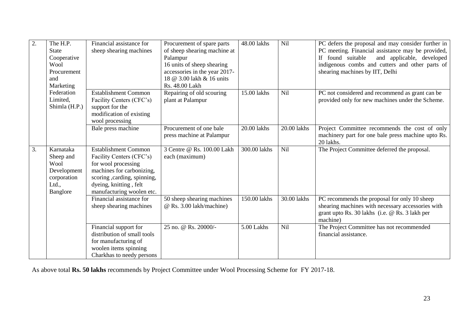| 2. | The H.P.      | Financial assistance for     | Procurement of spare parts    | 48.00 lakhs  | Nil         | PC defers the proposal and may consider further in |
|----|---------------|------------------------------|-------------------------------|--------------|-------------|----------------------------------------------------|
|    | <b>State</b>  | sheep shearing machines      | of sheep shearing machine at  |              |             | PC meeting. Financial assistance may be provided,  |
|    | Cooperative   |                              | Palampur                      |              |             | If found suitable<br>and applicable, developed     |
|    | Wool          |                              | 16 units of sheep shearing    |              |             | indigenous combs and cutters and other parts of    |
|    | Procurement   |                              | accessories in the year 2017- |              |             | shearing machines by IIT, Delhi                    |
|    | and           |                              | 18 @ 3.00 lakh & 16 units     |              |             |                                                    |
|    | Marketing     |                              | Rs. 48.00 Lakh                |              |             |                                                    |
|    | Federation    | <b>Establishment Common</b>  | Repairing of old scouring     | 15.00 lakhs  | <b>Nil</b>  | PC not considered and recommend as grant can be    |
|    | Limited.      | Facility Centers (CFC's)     | plant at Palampur             |              |             | provided only for new machines under the Scheme.   |
|    | Shimla (H.P.) | support for the              |                               |              |             |                                                    |
|    |               | modification of existing     |                               |              |             |                                                    |
|    |               | wool processing              |                               |              |             |                                                    |
|    |               | Bale press machine           | Procurement of one bale       | 20.00 lakhs  | 20.00 lakhs | Project Committee recommends the cost of only      |
|    |               |                              | press machine at Palampur     |              |             | machinery part for one bale press machine upto Rs. |
|    |               |                              |                               |              |             | 20 lakhs.                                          |
| 3. | Karnataka     | <b>Establishment Common</b>  | 3 Centre @ Rs. 100.00 Lakh    | 300.00 lakhs | Nil         | The Project Committee deferred the proposal.       |
|    | Sheep and     | Facility Centers (CFC's)     | each (maximum)                |              |             |                                                    |
|    | Wool          | for wool processing          |                               |              |             |                                                    |
|    | Development   | machines for carbonizing,    |                               |              |             |                                                    |
|    | corporation   | scoring , carding, spinning, |                               |              |             |                                                    |
|    | Ltd.,         | dyeing, knitting, felt       |                               |              |             |                                                    |
|    | Banglore      | manufacturing woolen etc.    |                               |              |             |                                                    |
|    |               | Financial assistance for     | 50 sheep shearing machines    | 150.00 lakhs | 30.00 lakhs | PC recommends the proposal for only 10 sheep       |
|    |               | sheep shearing machines      | @ Rs. 3.00 lakh/machine)      |              |             | shearing machines with necessary accessories with  |
|    |               |                              |                               |              |             | grant upto Rs. 30 lakhs (i.e. @ Rs. 3 lakh per     |
|    |               |                              |                               |              |             | machine)                                           |
|    |               | Financial support for        | 25 no. @ Rs. 20000/-          | 5.00 Lakhs   | Nil         | The Project Committee has not recommended          |
|    |               | distribution of small tools  |                               |              |             | financial assistance.                              |
|    |               | for manufacturing of         |                               |              |             |                                                    |
|    |               | woolen items spinning        |                               |              |             |                                                    |
|    |               | Charkhas to needy persons    |                               |              |             |                                                    |

As above total **Rs. 50 lakhs** recommends by Project Committee under Wool Processing Scheme for FY 2017-18.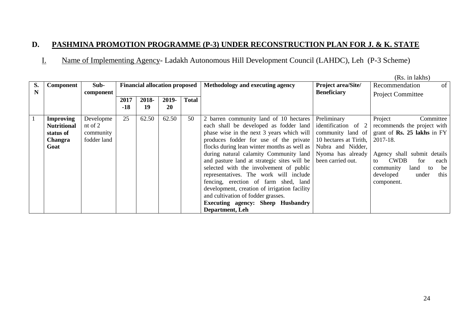## **D. PASHMINA PROMOTION PROGRAMME (P-3) UNDER RECONSTRUCTION PLAN FOR J. & K. STATE**

# I. Name of Implementing Agency- Ladakh Autonomous Hill Development Council (LAHDC), Leh (P-3 Scheme)

|    |                    |             |       |                                      |           |              |                                              |                           | (Rs. in lakhs)                         |
|----|--------------------|-------------|-------|--------------------------------------|-----------|--------------|----------------------------------------------|---------------------------|----------------------------------------|
| S. | <b>Component</b>   | Sub-        |       | <b>Financial allocation proposed</b> |           |              | Methodology and executing agency             | <b>Project area/Site/</b> | of  <br>Recommendation                 |
| N  |                    | component   |       |                                      |           |              |                                              | <b>Beneficiary</b>        | <b>Project Committee</b>               |
|    |                    |             | 2017  | 2018-                                | 2019-     | <b>Total</b> |                                              |                           |                                        |
|    |                    |             | $-18$ | 19                                   | <b>20</b> |              |                                              |                           |                                        |
|    | <b>Improving</b>   | Developme   | 25    | 62.50                                | 62.50     | 50           | 2 barren community land of 10 hectares       | Preliminary               | Project<br>Committee                   |
|    | <b>Nutritional</b> | nt of $2$   |       |                                      |           |              | each shall be developed as fodder land       | identification of 2       | recommends the project with            |
|    | status of          | community   |       |                                      |           |              | phase wise in the next 3 years which will    | community land of         | grant of $\mathbf{Rs.}$ 25 lakhs in FY |
|    | <b>Changra</b>     | fodder land |       |                                      |           |              | produces fodder for use of the private       | 10 hectares at Tirith,    | 2017-18.                               |
|    | Goat               |             |       |                                      |           |              | flocks during lean winter months as well as  | Nubra and Nidder,         |                                        |
|    |                    |             |       |                                      |           |              | during natural calamity Community land       | Nyoma has already         | Agency shall submit details            |
|    |                    |             |       |                                      |           |              | and pasture land at strategic sites will be  | been carried out.         | <b>CWDB</b><br>for<br>each<br>to       |
|    |                    |             |       |                                      |           |              | selected with the involvement of public      |                           | community<br>land<br>be<br>to          |
|    |                    |             |       |                                      |           |              | representatives. The work will include       |                           | developed<br>this<br>under             |
|    |                    |             |       |                                      |           |              | fencing, erection of farm shed, land         |                           | component.                             |
|    |                    |             |       |                                      |           |              | development, creation of irrigation facility |                           |                                        |
|    |                    |             |       |                                      |           |              | and cultivation of fodder grasses.           |                           |                                        |
|    |                    |             |       |                                      |           |              | <b>Executing agency: Sheep Husbandry</b>     |                           |                                        |
|    |                    |             |       |                                      |           |              | Department, Leh                              |                           |                                        |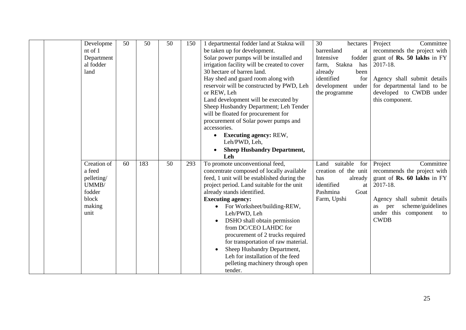| Developme<br>nt of 1<br>Department<br>al fodder<br>land                           | 50 | 50  | 50 | 150 | 1 departmental fodder land at Stakna will<br>be taken up for development.<br>Solar power pumps will be installed and<br>irrigation facility will be created to cover<br>30 hectare of barren land.<br>Hay shed and guard room along with<br>reservoir will be constructed by PWD, Leh<br>or REW, Leh<br>Land development will be executed by<br>Sheep Husbandry Department; Leh Tender<br>will be floated for procurement for<br>procurement of Solar power pumps and<br>accessories.<br><b>Executing agency: REW,</b><br>$\bullet$<br>Leh/PWD, Leh,<br><b>Sheep Husbandry Department,</b><br>Leh | 30<br>hectares<br>barrenland<br>at<br>fodder<br>Intensive<br>Stakna<br>has<br>farm,<br>already<br>been<br>identified<br>for<br>development<br>under<br>the programme | Project<br>Committee<br>recommends the project with<br>grant of Rs. 50 lakhs in FY<br>2017-18.<br>Agency shall submit details<br>for departmental land to be<br>developed to CWDB under<br>this component.   |
|-----------------------------------------------------------------------------------|----|-----|----|-----|---------------------------------------------------------------------------------------------------------------------------------------------------------------------------------------------------------------------------------------------------------------------------------------------------------------------------------------------------------------------------------------------------------------------------------------------------------------------------------------------------------------------------------------------------------------------------------------------------|----------------------------------------------------------------------------------------------------------------------------------------------------------------------|--------------------------------------------------------------------------------------------------------------------------------------------------------------------------------------------------------------|
| Creation of<br>a feed<br>pelleting/<br>UMMB/<br>fodder<br>block<br>making<br>unit | 60 | 183 | 50 | 293 | To promote unconventional feed,<br>concentrate composed of locally available<br>feed, 1 unit will be established during the<br>project period. Land suitable for the unit<br>already stands identified.<br><b>Executing agency:</b><br>• For Worksheet/building-REW,<br>Leh/PWD, Leh<br>DSHO shall obtain permission<br>from DC/CEO LAHDC for<br>procurement of 2 trucks required<br>for transportation of raw material.<br>Sheep Husbandry Department,<br>Leh for installation of the feed<br>pelleting machinery through open<br>tender.                                                        | suitable<br>Land<br>for<br>creation of the unit<br>has<br>already<br>identified<br>at<br>Pashmina<br>Goat<br>Farm, Upshi                                             | Project<br>Committee<br>recommends the project with<br>grant of Rs. 60 lakhs in FY<br>2017-18.<br>Agency shall submit details<br>scheme/guidelines<br>per<br>as<br>under this component<br>to<br><b>CWDB</b> |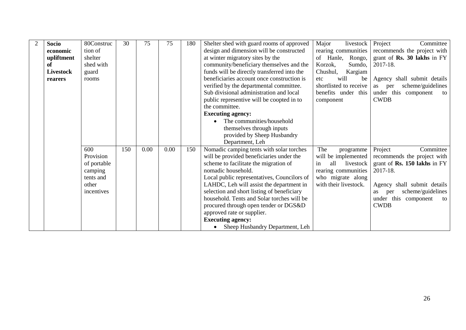| $\overline{2}$ | <b>Socio</b>     | 80Construc  | 30  | 75   | 75   | 180 | Shelter shed with guard rooms of approved   | Major<br>livestock     | Project<br>Committee                        |
|----------------|------------------|-------------|-----|------|------|-----|---------------------------------------------|------------------------|---------------------------------------------|
|                | economic         | tion of     |     |      |      |     | design and dimension will be constructed    | rearing communities    | recommends the project with                 |
|                | upliftment       | shelter     |     |      |      |     | at winter migratory sites by the            | of Hanle,<br>Rongo,    | grant of Rs. 30 lakhs in $FY$               |
|                | of               | shed with   |     |      |      |     | community/beneficiary themselves and the    | Korzok,<br>Sumdo,      | 2017-18.                                    |
|                | <b>Livestock</b> | guard       |     |      |      |     | funds will be directly transferred into the | Chushul,<br>Kargiam    |                                             |
|                | rearers          | rooms       |     |      |      |     | beneficiaries account once construction is  | will<br>be<br>etc.     | Agency shall submit details                 |
|                |                  |             |     |      |      |     | verified by the departmental committee.     | shortlisted to receive | scheme/guidelines<br>per<br>as              |
|                |                  |             |     |      |      |     | Sub divisional administration and local     | benefits under this    | under this component<br>to                  |
|                |                  |             |     |      |      |     | public representive will be coopted in to   | component              | <b>CWDB</b>                                 |
|                |                  |             |     |      |      |     | the committee.                              |                        |                                             |
|                |                  |             |     |      |      |     | <b>Executing agency:</b>                    |                        |                                             |
|                |                  |             |     |      |      |     | The communities/household                   |                        |                                             |
|                |                  |             |     |      |      |     | themselves through inputs                   |                        |                                             |
|                |                  |             |     |      |      |     | provided by Sheep Husbandry                 |                        |                                             |
|                |                  |             |     |      |      |     | Department, Leh                             |                        |                                             |
|                |                  | 600         | 150 | 0.00 | 0.00 | 150 | Nomadic camping tents with solar torches    | The<br>programme       | Project<br>Committee                        |
|                |                  | Provision   |     |      |      |     | will be provided beneficiaries under the    | will be implemented    | recommends the project with                 |
|                |                  | of portable |     |      |      |     | scheme to facilitate the migration of       | all<br>livestock<br>in | grant of <b>Rs. 150 lakhs</b> in FY $\vert$ |
|                |                  | camping     |     |      |      |     | nomadic household.                          | rearing communities    | 2017-18.                                    |
|                |                  | tents and   |     |      |      |     | Local public representatives, Councilors of | who migrate along      |                                             |
|                |                  | other       |     |      |      |     | LAHDC, Leh will assist the department in    | with their livestock.  | Agency shall submit details                 |
|                |                  | incentives  |     |      |      |     | selection and short listing of beneficiary  |                        | scheme/guidelines<br>as<br>per              |
|                |                  |             |     |      |      |     | household. Tents and Solar torches will be  |                        | under this component<br>to                  |
|                |                  |             |     |      |      |     | procured through open tender or DGS&D       |                        | <b>CWDB</b>                                 |
|                |                  |             |     |      |      |     | approved rate or supplier.                  |                        |                                             |
|                |                  |             |     |      |      |     | <b>Executing agency:</b>                    |                        |                                             |
|                |                  |             |     |      |      |     | Sheep Husbandry Department, Leh             |                        |                                             |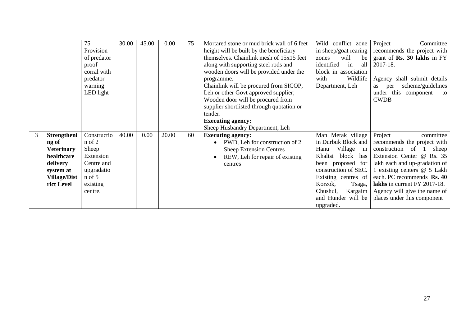|   |                                                                                                                              | 75<br>Provision<br>of predator<br>proof<br>corral with<br>predator<br>warning<br>LED light                     | 30.00 | 45.00 | 0.00  | 75 | Mortared stone or mud brick wall of 6 feet<br>height will be built by the beneficiary<br>themselves. Chainlink mesh of 15x15 feet<br>along with supporting steel rods and<br>wooden doors will be provided under the<br>programme.<br>Chainlink will be procured from SICOP,<br>Leh or other Govt approved supplier;<br>Wooden door will be procured from<br>supplier shortlisted through quotation or<br>tender.<br><b>Executing agency:</b><br>Sheep Husbandry Department, Leh | conflict zone<br>Wild<br>in sheep/goat rearing<br>will<br>be<br>zones<br>identified<br>all<br>in<br>block in association<br>with<br>Wildlife<br>Department, Leh                                                                                 | Project<br>Committee<br>recommends the project with<br>grant of <b>Rs. 30 lakhs</b> in FY<br>2017-18.<br>Agency shall submit details<br>scheme/guidelines<br>as<br>per<br>under this component<br>to<br><b>CWDB</b>                                                                                       |
|---|------------------------------------------------------------------------------------------------------------------------------|----------------------------------------------------------------------------------------------------------------|-------|-------|-------|----|----------------------------------------------------------------------------------------------------------------------------------------------------------------------------------------------------------------------------------------------------------------------------------------------------------------------------------------------------------------------------------------------------------------------------------------------------------------------------------|-------------------------------------------------------------------------------------------------------------------------------------------------------------------------------------------------------------------------------------------------|-----------------------------------------------------------------------------------------------------------------------------------------------------------------------------------------------------------------------------------------------------------------------------------------------------------|
| 3 | <b>Strengtheni</b><br>ng of<br><b>Veterinary</b><br>healthcare<br>delivery<br>system at<br><b>Village/Dist</b><br>rict Level | Constructio<br>$n$ of $2$<br>Sheep<br>Extension<br>Centre and<br>upgradatio<br>$n$ of 5<br>existing<br>centre. | 40.00 | 0.00  | 20.00 | 60 | <b>Executing agency:</b><br>PWD, Leh for construction of 2<br>$\bullet$<br><b>Sheep Extension Centres</b><br>REW, Leh for repair of existing<br>centres                                                                                                                                                                                                                                                                                                                          | Man Merak village<br>in Durbuk Block and<br>Village<br>Hanu<br>in<br>Khaltsi<br>block<br>has<br>been proposed for<br>construction of SEC.<br>Existing centres of<br>Korzok,<br>Tsaga,<br>Chushul,<br>Kargaim<br>and Hunder will be<br>upgraded. | Project<br>committee<br>recommends the project with<br>construction of<br>sheep<br>Extension Center @ Rs. 35<br>lakh each and up-gradation of<br>1 existing centers @ 5 Lakh<br>each. PC recommends Rs. 40<br>lakhs in current FY 2017-18.<br>Agency will give the name of<br>places under this component |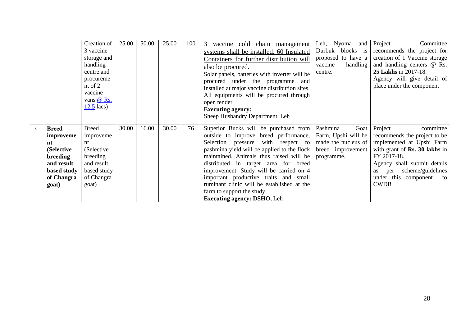|             | Creation of               | 25.00                                                                                                                       | 50.00 | 25.00 | 100   | vaccine cold chain<br>3<br>management      | Leh, Nyoma and                                                                                                                                                                                                                                                                                                                                                                                                                                                                                                                                   | Project<br>Committee                                                                           |
|-------------|---------------------------|-----------------------------------------------------------------------------------------------------------------------------|-------|-------|-------|--------------------------------------------|--------------------------------------------------------------------------------------------------------------------------------------------------------------------------------------------------------------------------------------------------------------------------------------------------------------------------------------------------------------------------------------------------------------------------------------------------------------------------------------------------------------------------------------------------|------------------------------------------------------------------------------------------------|
|             | 3 vaccine                 |                                                                                                                             |       |       |       |                                            | Durbuk blocks is                                                                                                                                                                                                                                                                                                                                                                                                                                                                                                                                 | recommends the project for                                                                     |
|             | storage and               |                                                                                                                             |       |       |       |                                            | proposed to have a                                                                                                                                                                                                                                                                                                                                                                                                                                                                                                                               | creation of 1 Vaccine storage                                                                  |
|             | handling                  |                                                                                                                             |       |       |       |                                            | vaccine<br>handling                                                                                                                                                                                                                                                                                                                                                                                                                                                                                                                              | and handling centers @ Rs.                                                                     |
|             |                           |                                                                                                                             |       |       |       |                                            |                                                                                                                                                                                                                                                                                                                                                                                                                                                                                                                                                  | 25 Lakhs in 2017-18.                                                                           |
|             |                           |                                                                                                                             |       |       |       |                                            |                                                                                                                                                                                                                                                                                                                                                                                                                                                                                                                                                  | Agency will give detail of                                                                     |
|             |                           |                                                                                                                             |       |       |       |                                            |                                                                                                                                                                                                                                                                                                                                                                                                                                                                                                                                                  | place under the component                                                                      |
|             |                           |                                                                                                                             |       |       |       |                                            |                                                                                                                                                                                                                                                                                                                                                                                                                                                                                                                                                  |                                                                                                |
|             |                           |                                                                                                                             |       |       |       |                                            |                                                                                                                                                                                                                                                                                                                                                                                                                                                                                                                                                  |                                                                                                |
|             |                           |                                                                                                                             |       |       |       |                                            |                                                                                                                                                                                                                                                                                                                                                                                                                                                                                                                                                  |                                                                                                |
|             |                           |                                                                                                                             |       |       |       |                                            |                                                                                                                                                                                                                                                                                                                                                                                                                                                                                                                                                  |                                                                                                |
|             |                           |                                                                                                                             |       |       |       |                                            |                                                                                                                                                                                                                                                                                                                                                                                                                                                                                                                                                  |                                                                                                |
|             |                           |                                                                                                                             |       |       |       |                                            |                                                                                                                                                                                                                                                                                                                                                                                                                                                                                                                                                  |                                                                                                |
|             |                           |                                                                                                                             |       |       |       |                                            |                                                                                                                                                                                                                                                                                                                                                                                                                                                                                                                                                  | Project<br>committee                                                                           |
|             |                           |                                                                                                                             |       |       |       |                                            |                                                                                                                                                                                                                                                                                                                                                                                                                                                                                                                                                  | recommends the project to be                                                                   |
| nt          | $n_{\rm t}$               |                                                                                                                             |       |       |       |                                            |                                                                                                                                                                                                                                                                                                                                                                                                                                                                                                                                                  | implemented at Upshi Farm                                                                      |
| (Selective  |                           |                                                                                                                             |       |       |       |                                            |                                                                                                                                                                                                                                                                                                                                                                                                                                                                                                                                                  | with grant of <b>Rs. 30 lakhs</b> in                                                           |
| breeding    | breeding                  |                                                                                                                             |       |       |       | maintained. Animals thus raised will be    | programme.                                                                                                                                                                                                                                                                                                                                                                                                                                                                                                                                       | FY 2017-18.                                                                                    |
|             |                           |                                                                                                                             |       |       |       |                                            |                                                                                                                                                                                                                                                                                                                                                                                                                                                                                                                                                  |                                                                                                |
| and result  | and result                |                                                                                                                             |       |       |       | distributed in target area for breed       |                                                                                                                                                                                                                                                                                                                                                                                                                                                                                                                                                  | Agency shall submit details                                                                    |
| based study | based study               |                                                                                                                             |       |       |       | improvement. Study will be carried on 4    |                                                                                                                                                                                                                                                                                                                                                                                                                                                                                                                                                  | scheme/guidelines<br>as per                                                                    |
| of Changra  | of Changra                |                                                                                                                             |       |       |       | important productive traits and small      |                                                                                                                                                                                                                                                                                                                                                                                                                                                                                                                                                  | under this component to                                                                        |
|             | goat)                     |                                                                                                                             |       |       |       | ruminant clinic will be established at the |                                                                                                                                                                                                                                                                                                                                                                                                                                                                                                                                                  | <b>CWDB</b>                                                                                    |
| goat)       |                           |                                                                                                                             |       |       |       | farm to support the study.                 |                                                                                                                                                                                                                                                                                                                                                                                                                                                                                                                                                  |                                                                                                |
|             | <b>Breed</b><br>improveme | centre and<br>procureme<br>nt of $2$<br>vaccine<br>vans $@$ Rs.<br>$12.5$ lacs)<br><b>Breed</b><br>improveme<br>(Selective) | 30.00 | 16.00 | 30.00 | 76                                         | systems shall be installed. 60 Insulated<br>Containers for further distribution will<br>also be procured.<br>Solar panels, batteries with inverter will be<br>procured under the programme and<br>installed at major vaccine distribution sites.<br>All equipments will be procured through<br>open tender<br><b>Executing agency:</b><br>Sheep Husbandry Department, Leh<br>Superior Bucks will be purchased from<br>outside to improve breed performance,<br>Selection pressure with respect to<br>pashmina yield will be applied to the flock | centre.<br>Pashmina<br>Goat<br>Farm, Upshi will be<br>made the nucleus of<br>breed improvement |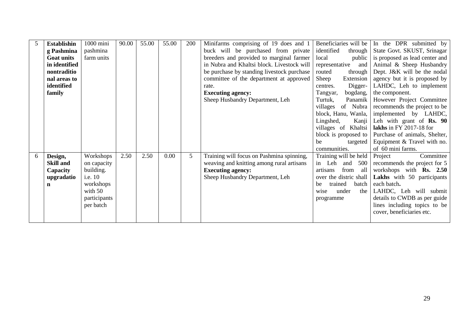| 5 | <b>Establishin</b> | 1000 mini    | 90.00 | 55.00 | 55.00 | 200            | Minifarms comprising of 19 does and 1      | Beneficiaries will be   | In the DPR submitted by             |
|---|--------------------|--------------|-------|-------|-------|----------------|--------------------------------------------|-------------------------|-------------------------------------|
|   | g Pashmina         | pashmina     |       |       |       |                | buck will be purchased from private        | identified<br>through   | State Govt. SKUST, Srinagar         |
|   | <b>Goat units</b>  | farm units   |       |       |       |                | breeders and provided to marginal farmer   | local<br>public         | is proposed as lead center and      |
|   | in identified      |              |       |       |       |                | in Nubra and Khaltsi block. Livestock will | representative<br>and   | Animal & Sheep Husbandry            |
|   | nontraditio        |              |       |       |       |                | be purchase by standing livestock purchase | routed<br>through       | Dept. J&K will be the nodal         |
|   | nal areas to       |              |       |       |       |                | committee of the department at approved    | Sheep<br>Extension      | agency but it is proposed by        |
|   | identified         |              |       |       |       |                | rate.                                      | Digger-<br>centres.     | LAHDC, Leh to implement             |
|   | family             |              |       |       |       |                | <b>Executing agency:</b>                   | bogdang,<br>Tangyar,    | the component.                      |
|   |                    |              |       |       |       |                | Sheep Husbandry Department, Leh            | Turtuk,<br>Panamik      | However Project Committee           |
|   |                    |              |       |       |       |                |                                            | villages of Nubra       | recommends the project to be        |
|   |                    |              |       |       |       |                |                                            | block, Hanu, Wanla,     | implemented by LAHDC,               |
|   |                    |              |       |       |       |                |                                            | Lingshed,<br>Kanji      | Leh with grant of $\mathbf{Rs.}$ 90 |
|   |                    |              |       |       |       |                |                                            | villages of Khaltsi     | lakhs in FY 2017-18 for             |
|   |                    |              |       |       |       |                |                                            | block is proposed to    | Purchase of animals, Shelter,       |
|   |                    |              |       |       |       |                |                                            | be<br>targeted          | Equipment & Travel with no.         |
|   |                    |              |       |       |       |                |                                            | communities.            | of 60 mini farms.                   |
| 6 | Design,            | Workshops    | 2.50  | 2.50  | 0.00  | 5 <sup>5</sup> | Training will focus on Pashmina spinning,  | Training will be held   | Committee<br>Project                |
|   | <b>Skill and</b>   | on capacity  |       |       |       |                | weaving and knitting among rural artisans  | in Leh<br>and 500       | recommends the project for 5        |
|   | Capacity           | building.    |       |       |       |                | <b>Executing agency:</b>                   | from<br>artisans<br>all | workshops with <b>Rs.</b> 2.50      |
|   | upgradatio         | i.e. 10      |       |       |       |                | Sheep Husbandry Department, Leh            | over the distric shall  | Lakhs with 50 participants          |
|   | n                  | workshops    |       |       |       |                |                                            | trained<br>batch<br>be  | each batch.                         |
|   |                    | with $50$    |       |       |       |                |                                            | under<br>the<br>wise    | LAHDC, Leh will submit              |
|   |                    | participants |       |       |       |                |                                            | programme               | details to CWDB as per guide        |
|   |                    | per batch    |       |       |       |                |                                            |                         | lines including topics to be        |
|   |                    |              |       |       |       |                |                                            |                         | cover, beneficiaries etc.           |
|   |                    |              |       |       |       |                |                                            |                         |                                     |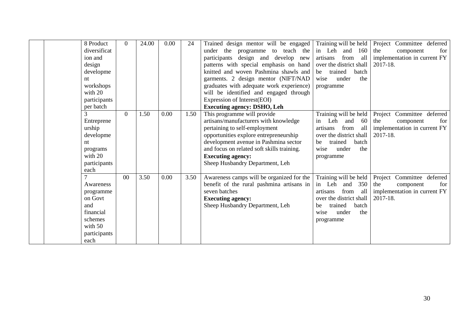| 8 Product<br>diversificat<br>ion and<br>design<br>developme<br>nt<br>workshops                      | 0        | 24.00 | 0.00 | 24   | Trained design mentor will be engaged<br>under the<br>programme to teach the<br>participants design and develop new<br>patterns with special emphasis on hand<br>knitted and woven Pashmina shawls and<br>garments. 2 design mentor (NIFT/NAD<br>graduates with adequate work experience)             | Training will be held<br>in Leh<br>and<br>160<br>from<br>artisans<br>all<br>over the district shall<br>trained<br>batch<br>be<br>under<br>wise<br>the<br>programme    | Project Committee deferred<br>the<br>component<br>for<br>implementation in current FY<br>2017-18. |
|-----------------------------------------------------------------------------------------------------|----------|-------|------|------|-------------------------------------------------------------------------------------------------------------------------------------------------------------------------------------------------------------------------------------------------------------------------------------------------------|-----------------------------------------------------------------------------------------------------------------------------------------------------------------------|---------------------------------------------------------------------------------------------------|
| with 20<br>participants<br>per batch                                                                |          |       |      |      | will be identified and engaged through<br>Expression of Interest(EOI)<br><b>Executing agency: DSHO, Leh</b>                                                                                                                                                                                           |                                                                                                                                                                       |                                                                                                   |
| Entreprene<br>urship<br>developme<br>nt<br>programs<br>with 20<br>participants<br>each              | $\Omega$ | 1.50  | 0.00 | 1.50 | This programme will provide<br>artisans/manufacturers with knowledge<br>pertaining to self-employment<br>opportunities explore entrepreneurship<br>development avenue in Pashmina sector<br>and focus on related soft skills training.<br><b>Executing agency:</b><br>Sheep Husbandry Department, Leh | Training will be held<br>Leh<br>60<br>and<br>in<br>from<br>all<br>artisans<br>over the district shall<br>trained<br>batch<br>be<br>under<br>the<br>wise<br>programme  | Project Committee deferred<br>the<br>for<br>component<br>implementation in current FY<br>2017-18. |
| Awareness<br>programme<br>on Govt<br>and<br>financial<br>schemes<br>with 50<br>participants<br>each | $00\,$   | 3.50  | 0.00 | 3.50 | Awareness camps will be organized for the<br>benefit of the rural pashmina artisans in<br>seven batches<br><b>Executing agency:</b><br>Sheep Husbandry Department, Leh                                                                                                                                | Training will be held<br>Leh<br>and<br>350<br>in<br>from<br>all<br>artisans<br>over the district shall<br>trained<br>batch<br>be<br>under<br>the<br>wise<br>programme | Project Committee deferred<br>the<br>for<br>component<br>implementation in current FY<br>2017-18. |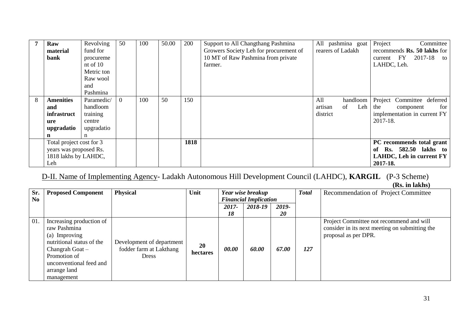| 7 | Raw                      | Revolving  | 50             | 100 | 50.00 | 200  | Support to All Changthang Pashmina     | All pashmina goat    | Project<br>Committee         |
|---|--------------------------|------------|----------------|-----|-------|------|----------------------------------------|----------------------|------------------------------|
|   | material                 | fund for   |                |     |       |      | Growers Society Leh for procurement of | rearers of Ladakh    | recommends Rs. 50 lakhs for  |
|   | bank                     | procureme  |                |     |       |      | 10 MT of Raw Pashmina from private     |                      | current FY<br>2017-18<br>to  |
|   |                          | nt of $10$ |                |     |       |      | farmer.                                |                      | LAHDC, Leh.                  |
|   |                          | Metric ton |                |     |       |      |                                        |                      |                              |
|   |                          | Raw wool   |                |     |       |      |                                        |                      |                              |
|   |                          | and        |                |     |       |      |                                        |                      |                              |
|   |                          | Pashmina   |                |     |       |      |                                        |                      |                              |
| 8 | <b>Amenities</b>         | Paramedic/ | $\overline{0}$ | 100 | 50    | 150  |                                        | All<br>handloom      | Project Committee deferred   |
|   | and                      | handloom   |                |     |       |      |                                        | of<br>Leh<br>artisan | the<br>for<br>component      |
|   | infrastruct              | training   |                |     |       |      |                                        | district             | implementation in current FY |
|   | ure                      | centre     |                |     |       |      |                                        |                      | 2017-18.                     |
|   | upgradatio               | upgradatio |                |     |       |      |                                        |                      |                              |
|   | n                        | n          |                |     |       |      |                                        |                      |                              |
|   | Total project cost for 3 |            |                |     |       | 1818 |                                        |                      | PC recommends total grant    |
|   | years was proposed Rs.   |            |                |     |       |      |                                        |                      | Rs. 582.50 lakhs to<br>of    |
|   | 1818 lakhs by LAHDC,     |            |                |     |       |      |                                        |                      | LAHDC, Leh in current FY     |
|   | Leh                      |            |                |     |       |      |                                        |                      | 2017-18.                     |

D-II. Name of Implementing Agency- Ladakh Autonomous Hill Development Council (LAHDC), **KARGIL** (P-3 Scheme) **(Rs. in lakhs)** 

| Sr.            | <b>Proposed Component</b>                                                                                                                                                            | <b>Physical</b>                                                      | Unit           | Year wise breakup |                              |           | <b>Total</b> | Recommendation of Project Committee                                                                                |
|----------------|--------------------------------------------------------------------------------------------------------------------------------------------------------------------------------------|----------------------------------------------------------------------|----------------|-------------------|------------------------------|-----------|--------------|--------------------------------------------------------------------------------------------------------------------|
| N <sub>0</sub> |                                                                                                                                                                                      |                                                                      |                |                   | <b>Financial Implication</b> |           |              |                                                                                                                    |
|                |                                                                                                                                                                                      |                                                                      |                | 2017-             | 2018-19                      | 2019-     |              |                                                                                                                    |
|                |                                                                                                                                                                                      |                                                                      |                | 18                |                              | <b>20</b> |              |                                                                                                                    |
| 01.            | Increasing production of<br>raw Pashmina<br>(a) Improving<br>nutritional status of the<br>Changrah Goat $-$<br>Promotion of<br>unconventional feed and<br>arrange land<br>management | Development of department<br>fodder farm at Lakthang<br><b>Dress</b> | 20<br>hectares | 00.00             | 60.00                        | 67.00     | 127          | Project Committee not recommend and will<br>consider in its next meeting on submitting the<br>proposal as per DPR. |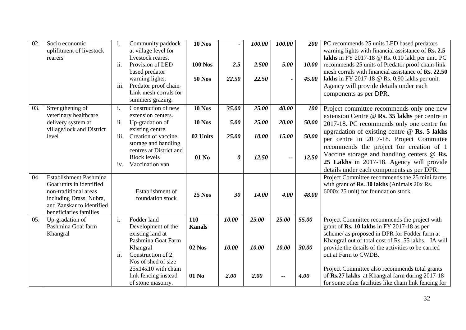| 02. | Socio economic<br>uplifitment of livestock<br>rearers | i.                         | Community paddock<br>at village level for<br>livestock reares. | <b>10 Nos</b>  |       | 100.00 | 100.00                   | 200        | PC recommends 25 units LED based predators<br>warning lights with financial assistance of Rs. 2.5<br>lakhs in FY 2017-18 $\circledR$ Rs. 0.10 lakh per unit. PC |
|-----|-------------------------------------------------------|----------------------------|----------------------------------------------------------------|----------------|-------|--------|--------------------------|------------|-----------------------------------------------------------------------------------------------------------------------------------------------------------------|
|     |                                                       | ii.                        | Provision of LED                                               | <b>100 Nos</b> | 2.5   | 2.500  | 5.00                     | 10.00      | recommends 25 units of Predator proof chain-link                                                                                                                |
|     |                                                       |                            | based predator<br>warning lights.                              | <b>50 Nos</b>  | 22.50 | 22.50  | $\overline{\phantom{a}}$ | 45.00      | mesh corrals with financial assistance of Rs. 22.50<br>lakhs in FY 2017-18 $\omega$ Rs. 0.90 lakhs per unit.                                                    |
|     |                                                       | iii.                       | Predator proof chain-                                          |                |       |        |                          |            | Agency will provide details under each                                                                                                                          |
|     |                                                       |                            | Link mesh corrals for                                          |                |       |        |                          |            | components as per DPR.                                                                                                                                          |
| 03. | Strengthening of                                      | i.                         | summers grazing.<br>Construction of new                        | <b>10 Nos</b>  | 35.00 | 25.00  | 40.00                    | <b>100</b> |                                                                                                                                                                 |
|     | veterinary healthcare                                 |                            | extension centers.                                             |                |       |        |                          |            | Project committee recommends only one new<br>extension Centre @ Rs. 35 lakhs per centre in                                                                      |
|     | delivery system at                                    | ii.                        | Up-gradation of                                                | <b>10 Nos</b>  | 5.00  | 25.00  | 20.00                    | 50.00      | 2017-18. PC recommends only one centre for                                                                                                                      |
|     | village/lock and District<br>level                    | iii.                       | existing centre.<br>Creation of vaccine                        | 02 Units       | 25.00 | 10.00  | 15.00                    | 50.00      | upgradation of existing centre $@$ Rs. 5 lakhs                                                                                                                  |
|     |                                                       |                            | storage and handling                                           |                |       |        |                          |            | per centre in 2017-18. Project Committee                                                                                                                        |
|     |                                                       |                            | centres at District and                                        |                |       |        |                          |            | recommends the project for creation of 1<br>Vaccine storage and handling centers $@$ Rs.                                                                        |
|     |                                                       |                            | <b>Block levels</b><br>Vaccination van                         | 01 No          | 0     | 12.50  | --                       | 12.50      | 25 Lakhs in 2017-18. Agency will provide                                                                                                                        |
|     |                                                       | 1V.                        |                                                                |                |       |        |                          |            | details under each components as per DPR.                                                                                                                       |
| 04  | Establishment Pashmina                                |                            |                                                                |                |       |        |                          |            | Project Committee recommends the 25 mini farms                                                                                                                  |
|     | Goat units in identified<br>non-traditional areas     |                            | Establishment of                                               |                |       |        |                          |            | with grant of Rs. 30 lakhs (Animals 20x Rs.<br>6000x 25 unit) for foundation stock.                                                                             |
|     | including Drass, Nubra,                               |                            | foundation stock                                               | <b>25 Nos</b>  | 30    | 14.00  | 4.00                     | 48.00      |                                                                                                                                                                 |
|     | and Zanskar to identified                             |                            |                                                                |                |       |        |                          |            |                                                                                                                                                                 |
| 05. | beneficiaries families<br>Up-gradation of             | i.                         | Fodder land                                                    | 110            | 10.00 | 25.00  | 25.00                    | 55.00      | Project Committee recommends the project with                                                                                                                   |
|     | Pashmina Goat farm                                    |                            | Development of the                                             | <b>Kanals</b>  |       |        |                          |            | grant of $\mathbf{Rs.}$ 10 lakhs in FY 2017-18 as per                                                                                                           |
|     | Khangral                                              |                            | existing land at                                               |                |       |        |                          |            | scheme/ as proposed in DPR for Fodder farm at                                                                                                                   |
|     |                                                       |                            | Pashmina Goat Farm                                             |                |       |        |                          |            | Khangral out of total cost of Rs. 55 lakhs. IA will                                                                                                             |
|     |                                                       | $\overline{\mathbf{11}}$ . | Khangral<br>Construction of 2                                  | <b>02 Nos</b>  | 10.00 | 10.00  | 10.00                    | 30.00      | provide the details of the activities to be carried<br>out at Farm to CWDB.                                                                                     |
|     |                                                       |                            | Nos of shed of size                                            |                |       |        |                          |            |                                                                                                                                                                 |
|     |                                                       |                            | $25x14x10$ with chain                                          |                |       |        |                          |            | Project Committee also recommends total grants                                                                                                                  |
|     |                                                       |                            | link fencing instead<br>of stone masonry.                      | 01 No          | 2.00  | 2.00   | --                       | 4.00       | of Rs.27 lakhs at Khangral farm during 2017-18<br>for some other facilities like chain link fencing for                                                         |
|     |                                                       |                            |                                                                |                |       |        |                          |            |                                                                                                                                                                 |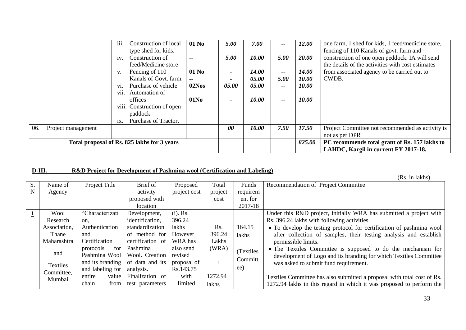|     |                                             | Construction of local<br><i>iii.</i> | 01 No            | 5.00           | 7.00         | --                                            | 12.00                                | one farm, 1 shed for kids, 1 feed/medicine store, |
|-----|---------------------------------------------|--------------------------------------|------------------|----------------|--------------|-----------------------------------------------|--------------------------------------|---------------------------------------------------|
|     |                                             | type shed for kids.                  |                  |                |              |                                               |                                      | fencing of 110 Kanals of govt. farm and           |
|     |                                             | Construction of<br>iv.               | $\sim$ $\sim$    | 5.00           | 10.00        | 5.00                                          | 20.00                                | construction of one open peddock. IA will send    |
|     |                                             | feed/Medicine store                  |                  |                |              |                                               |                                      | the details of the activities with cost estimates |
|     |                                             | Fencing of 110<br>V.                 | 01 No            |                | <b>14.00</b> | $\overline{\phantom{a}}$                      | <b>14.00</b>                         | from associated agency to be carried out to       |
|     |                                             | Kanals of Govt. farm.                | $\sim$ $\sim$    |                | 05.00        | 5.00                                          | 10.00                                | CWDB.                                             |
|     |                                             | Purchase of vehicle<br>V1.           | 02Nos            | 05.00          | 05.00        | $- -$                                         | <i>10.00</i>                         |                                                   |
|     |                                             | Automation of<br>V <sub>11</sub> .   |                  |                |              |                                               |                                      |                                                   |
|     |                                             | offices                              | 01N <sub>0</sub> |                | 10.00        | --                                            | 10.00                                |                                                   |
|     |                                             | viii. Construction of open           |                  |                |              |                                               |                                      |                                                   |
|     |                                             | paddock                              |                  |                |              |                                               |                                      |                                                   |
|     |                                             | Purchase of Tractor.<br>1X.          |                  |                |              |                                               |                                      |                                                   |
| 06. | Project management                          |                                      |                  | $\theta\theta$ | 10.00        | 7.50                                          | 17.50                                | Project Committee not recommended as activity is  |
|     |                                             |                                      |                  |                |              |                                               |                                      | not as per DPR                                    |
|     | Total proposal of Rs. 825 lakhs for 3 years |                                      |                  |                | 825.00       | PC recommends total grant of Rs. 157 lakhs to |                                      |                                                   |
|     |                                             |                                      |                  |                |              |                                               | LAHDC, Kargil in current FY 2017-18. |                                                   |

#### **D-III. R&D Project for Development of Pashmina wool (Certification and Labeling)**

(Rs. in lakhs)

|    |                 |                  |                  |              |         |            | (RS. III IAKIIS <i>)</i>                                                |
|----|-----------------|------------------|------------------|--------------|---------|------------|-------------------------------------------------------------------------|
| S. | Name of         | Project Title    | Brief of         | Proposed     | Total   | Funds      | Recommendation of Project Committee                                     |
| N  | Agency          |                  | activity         | project cost | project | requirem   |                                                                         |
|    |                 |                  | proposed with    |              | cost    | ent for    |                                                                         |
|    |                 |                  | location         |              |         | 2017-18    |                                                                         |
|    | Wool            | "Characterizati  | Development,     | $(i)$ . Rs.  |         |            | Under this R&D project, initially WRA has submitted a project with      |
|    | Research        | on.              | identification,  | 396.24       |         |            | Rs. 396.24 lakhs with following activities.                             |
|    | Association,    | Authentication   | standardization  | lakhs        | Rs.     | 164.15     | • To develop the testing protocol for certification of pashmina wool    |
|    | Thane           | and              | of method for    | However      | 396.24  | lakhs      | after collection of samples, their testing analysis and establish       |
|    | Maharashtra     | Certification    | certification of | WRA has      | Lakhs   |            | permissible limits.                                                     |
|    |                 | protocols<br>for | Pashmina         | also send    | (WRA)   | (Textiles) | • The Textiles Committee is supposed to do the mechanism for            |
|    | and             | Pashmina Wool    | Wool. Creation   | revised      |         |            | development of Logo and its branding for which Textiles Committee       |
|    | <b>Textiles</b> | and its branding | of data and its  | proposal of  | $+$     | Committ    | was asked to submit fund requirement.                                   |
|    | Committee,      | and labeling for | analysis.        | Rs.143.75    |         | ee)        |                                                                         |
|    | Mumbai          | entire<br>value  | Finalization of  | with         | 1272.94 |            | Textiles Committee has also submitted a proposal with total cost of Rs. |
|    |                 | chain<br>from    | test parameters  | limited      | lakhs   |            | 1272.94 lakhs in this regard in which it was proposed to perform the    |
|    |                 |                  |                  |              |         |            |                                                                         |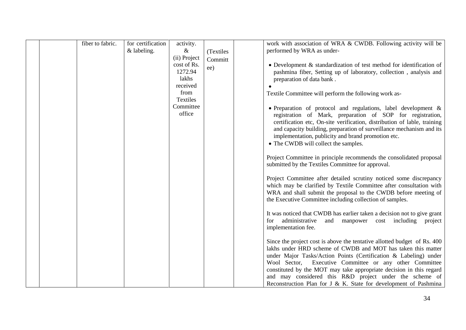| fiber to fabric.<br>for certification<br>activity.<br>& labeling.<br>$\&$<br>(ii) Project | (Textiles)<br>Committ | work with association of WRA & CWDB. Following activity will be<br>performed by WRA as under-                                                                                                                                                                                                                                                                                                                                                                                    |
|-------------------------------------------------------------------------------------------|-----------------------|----------------------------------------------------------------------------------------------------------------------------------------------------------------------------------------------------------------------------------------------------------------------------------------------------------------------------------------------------------------------------------------------------------------------------------------------------------------------------------|
| cost of Rs.<br>1272.94                                                                    | ee)                   | $\bullet$ Development & standardization of test method for identification of<br>pashmina fiber, Setting up of laboratory, collection, analysis and                                                                                                                                                                                                                                                                                                                               |
| lakhs<br>received<br>from                                                                 |                       | preparation of data bank.<br>Textile Committee will perform the following work as-                                                                                                                                                                                                                                                                                                                                                                                               |
| Textiles                                                                                  |                       |                                                                                                                                                                                                                                                                                                                                                                                                                                                                                  |
| Committee<br>office                                                                       |                       | • Preparation of protocol and regulations, label development $\&$<br>registration of Mark, preparation of SOP for registration,<br>certification etc, On-site verification, distribution of lable, training<br>and capacity building, preparation of surveillance mechanism and its<br>implementation, publicity and brand promotion etc.<br>• The CWDB will collect the samples.                                                                                                |
|                                                                                           |                       | Project Committee in principle recommends the consolidated proposal<br>submitted by the Textiles Committee for approval.                                                                                                                                                                                                                                                                                                                                                         |
|                                                                                           |                       | Project Committee after detailed scrutiny noticed some discrepancy<br>which may be clarified by Textile Committee after consultation with<br>WRA and shall submit the proposal to the CWDB before meeting of<br>the Executive Committee including collection of samples.                                                                                                                                                                                                         |
|                                                                                           |                       | It was noticed that CWDB has earlier taken a decision not to give grant<br>administrative<br>and manpower cost including project<br>for<br>implementation fee.                                                                                                                                                                                                                                                                                                                   |
|                                                                                           |                       | Since the project cost is above the tentative allotted budget of Rs. 400<br>lakhs under HRD scheme of CWDB and MOT has taken this matter<br>under Major Tasks/Action Points (Certification & Labeling) under<br>Executive Committee or any other Committee<br>Wool Sector,<br>constituted by the MOT may take appropriate decision in this regard<br>and may considered this R&D project under the scheme of<br>Reconstruction Plan for J & K. State for development of Pashmina |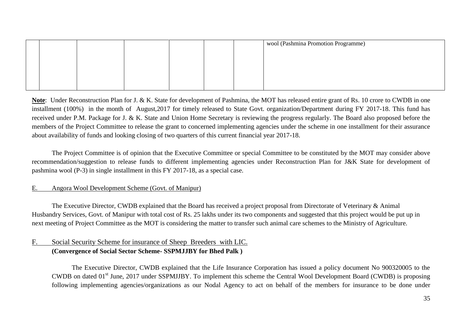|  |  |  | wool (Pashmina Promotion Programme) |
|--|--|--|-------------------------------------|
|  |  |  |                                     |
|  |  |  |                                     |
|  |  |  |                                     |
|  |  |  |                                     |
|  |  |  |                                     |

**Note**: Under Reconstruction Plan for J. & K. State for development of Pashmina, the MOT has released entire grant of Rs. 10 crore to CWDB in one installment (100%) in the month of August,2017 for timely released to State Govt. organization/Department during FY 2017-18. This fund has received under P.M. Package for J. & K. State and Union Home Secretary is reviewing the progress regularly. The Board also proposed before the members of the Project Committee to release the grant to concerned implementing agencies under the scheme in one installment for their assurance about availability of funds and looking closing of two quarters of this current financial year 2017-18.

The Project Committee is of opinion that the Executive Committee or special Committee to be constituted by the MOT may consider above recommendation/suggestion to release funds to different implementing agencies under Reconstruction Plan for J&K State for development of pashmina wool (P-3) in single installment in this FY 2017-18, as a special case.

#### E. Angora Wool Development Scheme (Govt. of Manipur)

The Executive Director, CWDB explained that the Board has received a project proposal from Directorate of Veterinary & Animal Husbandry Services, Govt. of Manipur with total cost of Rs. 25 lakhs under its two components and suggested that this project would be put up in next meeting of Project Committee as the MOT is considering the matter to transfer such animal care schemes to the Ministry of Agriculture.

#### F. Social Security Scheme for insurance of Sheep Breeders with LIC. **(Convergence of Social Sector Scheme- SSPMJJBY for Bhed Palk )**

The Executive Director, CWDB explained that the Life Insurance Corporation has issued a policy document No 900320005 to the CWDB on dated 01<sup>st</sup> June, 2017 under SSPMJJBY. To implement this scheme the Central Wool Development Board (CWDB) is proposing following implementing agencies/organizations as our Nodal Agency to act on behalf of the members for insurance to be done under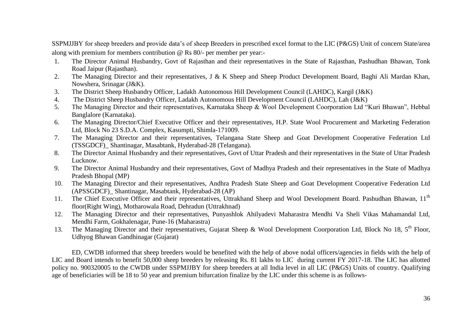SSPMJJBY for sheep breeders and provide data"s of sheep Breeders in prescribed excel format to the LIC (P&GS) Unit of concern State/area along with premium for members contribution @ Rs 80/- per member per year:-

- 1. The Director Animal Husbandry, Govt of Rajasthan and their representatives in the State of Rajasthan, Pashudhan Bhawan, Tonk Road Jaipur (Rajasthan).
- 2. The Managing Director and their representatives, J & K Sheep and Sheep Product Development Board, Baghi Ali Mardan Khan, Nowshera, Srinagar (J&K).
- 3. The District Sheep Husbandry Officer, Ladakh Autonomous Hill Development Council (LAHDC), Kargil (J&K)
- 4. The District Sheep Husbandry Officer, Ladakh Autonomous Hill Development Council (LAHDC), Lah (J&K)
- 5. The Managing Director and their representatives, Karnataka Sheep & Wool Development Coorporation Ltd "Kuri Bhawan", Hebbal Banglalore (Karnataka).
- 6. The Managing Director/Chief Executive Officer and their representatives, H.P. State Wool Procurement and Marketing Federation Ltd, Block No 23 S.D.A. Complex, Kasumpti, Shimla-171009.
- 7. The Managing Director and their representatives, Telangana State Sheep and Goat Development Cooperative Federation Ltd (TSSGDCF)\_ Shantinagar, Masabtank, Hyderabad-28 (Telangana).
- 8. The Director Animal Husbandry and their representatives, Govt of Uttar Pradesh and their representatives in the State of Uttar Pradesh Lucknow.
- 9. The Director Animal Husbandry and their representatives, Govt of Madhya Pradesh and their representatives in the State of Madhya Pradesh Bhopal (MP)
- 10. The Managing Director and their representatives, Andhra Pradesh State Sheep and Goat Development Cooperative Federation Ltd (APSSGDCF)\_ Shantinagar, Masabtank, Hyderabad-28 (AP)
- 11. The Chief Executive Officer and their representatives, Uttrakhand Sheep and Wool Development Board. Pashudhan Bhawan, 11<sup>th</sup> floor(Right Wing), Motharowala Road, Dehradun (Uttrakhnad)
- 12. The Managing Director and their representatives, Punyashlok Ahilyadevi Maharastra Mendhi Va Sheli Vikas Mahamandal Ltd, Mendhi Farm, Gokhalenagar, Pune-16 (Maharastra)
- 13. The Managing Director and their representatives, Gujarat Sheep & Wool Development Coorporation Ltd, Block No 18, 5<sup>th</sup> Floor, Udhyog Bhawan Gandhinagar (Gujarat)

ED, CWDB informed that sheep breeders would be benefited with the help of above nodal officers/agencies in fields with the help of LIC and Board intends to benefit 50,000 sheep breeders by releasing Rs. 81 lakhs to LIC during current FY 2017-18. The LIC has allotted policy no. 900320005 to the CWDB under SSPMJJBY for sheep breeders at all India level in all LIC (P&GS) Units of country. Qualifying age of beneficiaries will be 18 to 50 year and premium bifurcation finalize by the LIC under this scheme is as follows-